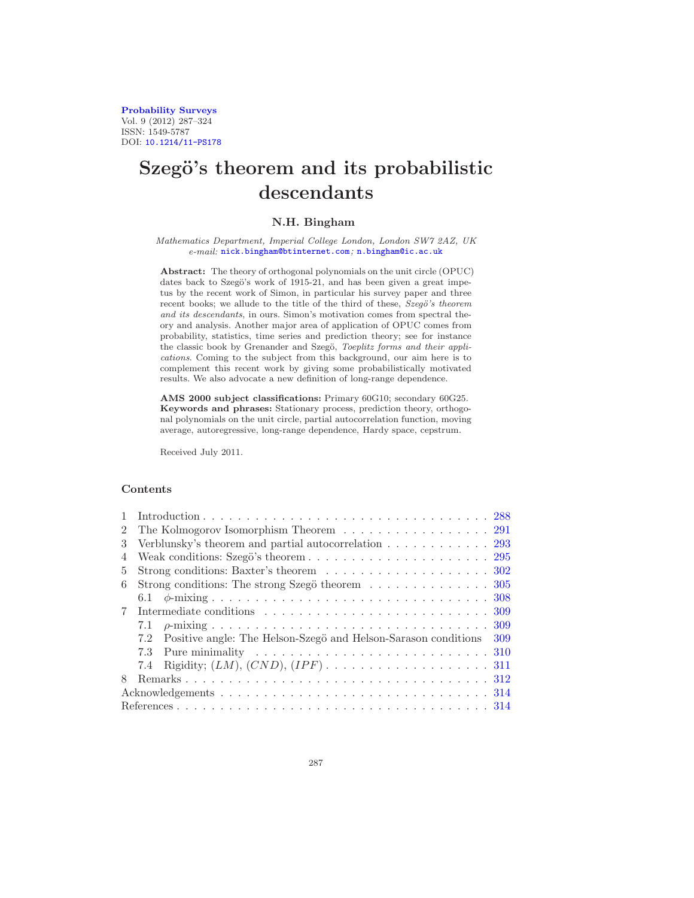[Probability Surveys](http://www.i-journals.org/ps) Vol. 9 (2012) 287–324 ISSN: 1549-5787 DOI: [10.1214/11-PS178](http://dx.doi.org/10.1214/11-PS178)

# Szegö's theorem and its probabilistic descendants

# N.H. Bingham

#### *Mathematics Department, Imperial College London, London SW7 2AZ, UK e-mail:* [nick.bingham@btinternet.com](mailto:nick.bingham@btinternet.com)*;* [n.bingham@ic.ac.uk](mailto:n.bingham@ic.ac.uk)

Abstract: The theory of orthogonal polynomials on the unit circle (OPUC) dates back to Szegö's work of 1915-21, and has been given a great impetus by the recent work of Simon, in particular his survey paper and three recent books; we allude to the title of the third of these,  $Szeg\ddot{o}'s$  theorem *and its descendants*, in ours. Simon's motivation comes from spectral theory and analysis. Another major area of application of OPUC comes from probability, statistics, time series and prediction theory; see for instance the classic book by Grenander and Szegö, *Toeplitz forms and their applications*. Coming to the subject from this background, our aim here is to complement this recent work by giving some probabilistically motivated results. We also advocate a new definition of long-range dependence.

AMS 2000 subject classifications: Primary 60G10; secondary 60G25. Keywords and phrases: Stationary process, prediction theory, orthogonal polynomials on the unit circle, partial autocorrelation function, moving average, autoregressive, long-range dependence, Hardy space, cepstrum.

Received July 2011.

# Contents

| $\mathcal{L}$ | The Kolmogorov Isomorphism Theorem 291                                                                 |  |  |  |
|---------------|--------------------------------------------------------------------------------------------------------|--|--|--|
| $\mathcal{S}$ | Verblunsky's theorem and partial autocorrelation $\ldots \ldots \ldots \ldots$ 293                     |  |  |  |
| 4             |                                                                                                        |  |  |  |
| 5.            | Strong conditions: Baxter's theorem $\ldots \ldots \ldots \ldots \ldots \ldots \ldots 302$             |  |  |  |
| 6             | Strong conditions: The strong Szegö theorem $\ldots \ldots \ldots \ldots \ldots 305$                   |  |  |  |
|               |                                                                                                        |  |  |  |
|               |                                                                                                        |  |  |  |
|               | 7.1                                                                                                    |  |  |  |
|               | Positive angle: The Helson-Szegö and Helson-Sarason conditions 309<br>7.2                              |  |  |  |
|               | Pure minimality $\dots \dots \dots \dots \dots \dots \dots \dots \dots \dots \dots \dots \dots$<br>7.3 |  |  |  |
|               | 7.4                                                                                                    |  |  |  |
| 8             |                                                                                                        |  |  |  |
|               |                                                                                                        |  |  |  |
|               |                                                                                                        |  |  |  |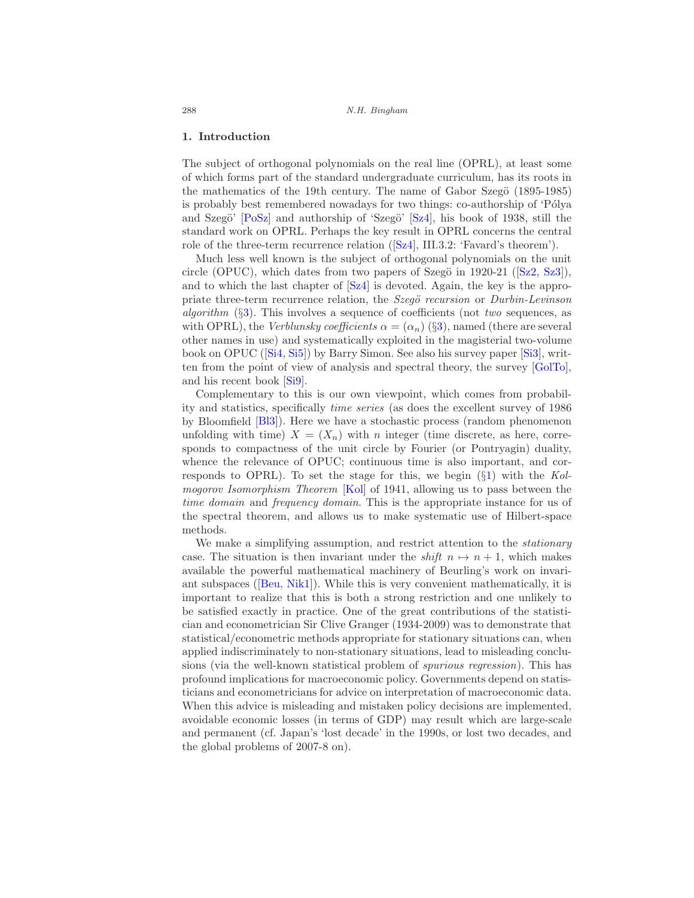#### <span id="page-1-0"></span>1. Introduction

The subject of orthogonal polynomials on the real line (OPRL), at least some of which forms part of the standard undergraduate curriculum, has its roots in the mathematics of the 19th century. The name of Gabor Szegö (1895-1985) is probably best remembered nowadays for two things: co-authorship of 'Pólya and Szegö'  $[Posz]$  and authorship of 'Szegö'  $[Sz4]$ , his book of 1938, still the standard work on OPRL. Perhaps the key result in OPRL concerns the central roleof the three-term recurrence relation  $([Sz4], III.3.2: 'Favard's theorem').$  $([Sz4], III.3.2: 'Favard's theorem').$  $([Sz4], III.3.2: 'Favard's theorem').$ 

Much less well known is the subject of orthogonal polynomials on the unit circle(OPUC), which dates from two papers of Szegö in 1920-21 ( $[Sz2, Sz3]$  $[Sz2, Sz3]$  $[Sz2, Sz3]$  $[Sz2, Sz3]$ ), and to which the last chapter of [\[Sz4\]](#page-36-0) is devoted. Again, the key is the appropriate three-term recurrence relation, the Szegö recursion or Durbin-Levinson algorithm  $(\S3)$  $(\S3)$ . This involves a sequence of coefficients (not two sequences, as with OPRL), the Verblunsky coefficients  $\alpha = (\alpha_n)$  (§[3\)](#page-6-0), named (there are several other names in use) and systematically exploited in the magisterial two-volume book on OPUC([\[Si4](#page-36-3), [Si5\]](#page-36-4)) by Barry Simon. See also his survey paper [\[Si3](#page-36-5)], written from the point of view of analysis and spectral theory, the survey [\[GolTo\]](#page-31-0), and his recent book [\[Si9\]](#page-36-6).

Complementary to this is our own viewpoint, which comes from probability and statistics, specifically time series (as does the excellent survey of 1986 by Bloomfield [\[Bl3\]](#page-29-0)). Here we have a stochastic process (random phenomenon unfolding with time)  $X = (X_n)$  with n integer (time discrete, as here, corresponds to compactness of the unit circle by Fourier (or Pontryagin) duality, whence the relevance of OPUC; continuous time is also important, and corresponds to OPRL). To set the stage for this, we begin  $(\S1)$  $(\S1)$  with the Kol-mogorov Isomorphism Theorem [\[Kol\]](#page-33-0) of 1941, allowing us to pass between the time domain and frequency domain. This is the appropriate instance for us of the spectral theorem, and allows us to make systematic use of Hilbert-space methods.

We make a simplifying assumption, and restrict attention to the *stationary* case. The situation is then invariant under the *shift*  $n \mapsto n + 1$ , which makes available the powerful mathematical machinery of Beurling's work on invariant subspaces([\[Beu](#page-28-0), [Nik1\]](#page-35-1)). While this is very convenient mathematically, it is important to realize that this is both a strong restriction and one unlikely to be satisfied exactly in practice. One of the great contributions of the statistician and econometrician Sir Clive Granger (1934-2009) was to demonstrate that statistical/econometric methods appropriate for stationary situations can, when applied indiscriminately to non-stationary situations, lead to misleading conclusions (via the well-known statistical problem of spurious regression). This has profound implications for macroeconomic policy. Governments depend on statisticians and econometricians for advice on interpretation of macroeconomic data. When this advice is misleading and mistaken policy decisions are implemented, avoidable economic losses (in terms of GDP) may result which are large-scale and permanent (cf. Japan's 'lost decade' in the 1990s, or lost two decades, and the global problems of 2007-8 on).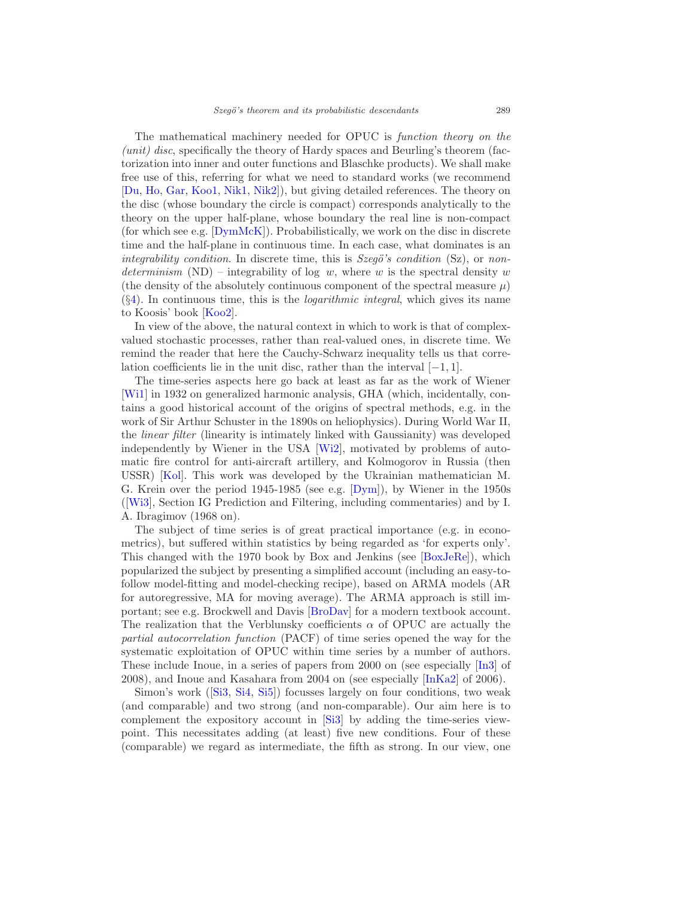The mathematical machinery needed for OPUC is function theory on the  $(u\nu)$  disc, specifically the theory of Hardy spaces and Beurling's theorem (factorization into inner and outer functions and Blaschke products). We shall make free use of this, referring for what we need to standard works (we recommend [\[Du,](#page-30-0) [Ho,](#page-32-0) [Gar](#page-31-1), [Koo1](#page-33-1), [Nik1](#page-35-1), [Nik2](#page-35-2)]), but giving detailed references. The theory on the disc (whose boundary the circle is compact) corresponds analytically to the theory on the upper half-plane, whose boundary the real line is non-compact (for which see e.g.  $[DymMcK]$ ). Probabilistically, we work on the disc in discrete time and the half-plane in continuous time. In each case, what dominates is an integrability condition. In discrete time, this is  $Szeg\ddot{o}'s$  condition (Sz), or nondeterminism (ND) – integrability of log w, where w is the spectral density w (the density of the absolutely continuous component of the spectral measure  $\mu$ )  $(\S4)$  $(\S4)$ . In continuous time, this is the *logarithmic integral*, which gives its name to Koosis' book [\[Koo2](#page-34-0)].

In view of the above, the natural context in which to work is that of complexvalued stochastic processes, rather than real-valued ones, in discrete time. We remind the reader that here the Cauchy-Schwarz inequality tells us that correlation coefficients lie in the unit disc, rather than the interval [−1, 1].

The time-series aspects here go back at least as far as the work of Wiener [\[Wi1\]](#page-37-0) in 1932 on generalized harmonic analysis, GHA (which, incidentally, contains a good historical account of the origins of spectral methods, e.g. in the work of Sir Arthur Schuster in the 1890s on heliophysics). During World War II, the linear filter (linearity is intimately linked with Gaussianity) was developed independently by Wiener in the USA [\[Wi2](#page-37-1)], motivated by problems of automatic fire control for anti-aircraft artillery, and Kolmogorov in Russia (then USSR) [\[Kol\]](#page-33-0). This work was developed by the Ukrainian mathematician M. G. Krein over the period 1945-1985 (see e.g. [\[Dym\]](#page-31-3)), by Wiener in the 1950s ([\[Wi3\]](#page-37-2), Section IG Prediction and Filtering, including commentaries) and by I. A. Ibragimov (1968 on).

The subject of time series is of great practical importance (e.g. in econometrics), but suffered within statistics by being regarded as 'for experts only'. This changed with the 1970 book by Box and Jenkins (see [\[BoxJeRe](#page-29-1)]), which popularized the subject by presenting a simplified account (including an easy-tofollow model-fitting and model-checking recipe), based on ARMA models (AR for autoregressive, MA for moving average). The ARMA approach is still important; see e.g. Brockwell and Davis [\[BroDav\]](#page-30-1) for a modern textbook account. The realization that the Verblunsky coefficients  $\alpha$  of OPUC are actually the partial autocorrelation function (PACF) of time series opened the way for the systematic exploitation of OPUC within time series by a number of authors. These include Inoue, in a series of papers from 2000 on (see especially [\[In3](#page-32-1)] of 2008), and Inoue and Kasahara from 2004 on (see especially [\[InKa2](#page-32-2)] of 2006).

Simon's work([\[Si3](#page-36-5), [Si4](#page-36-3), [Si5](#page-36-4)]) focusses largely on four conditions, two weak (and comparable) and two strong (and non-comparable). Our aim here is to complement the expository account in [\[Si3\]](#page-36-5) by adding the time-series viewpoint. This necessitates adding (at least) five new conditions. Four of these (comparable) we regard as intermediate, the fifth as strong. In our view, one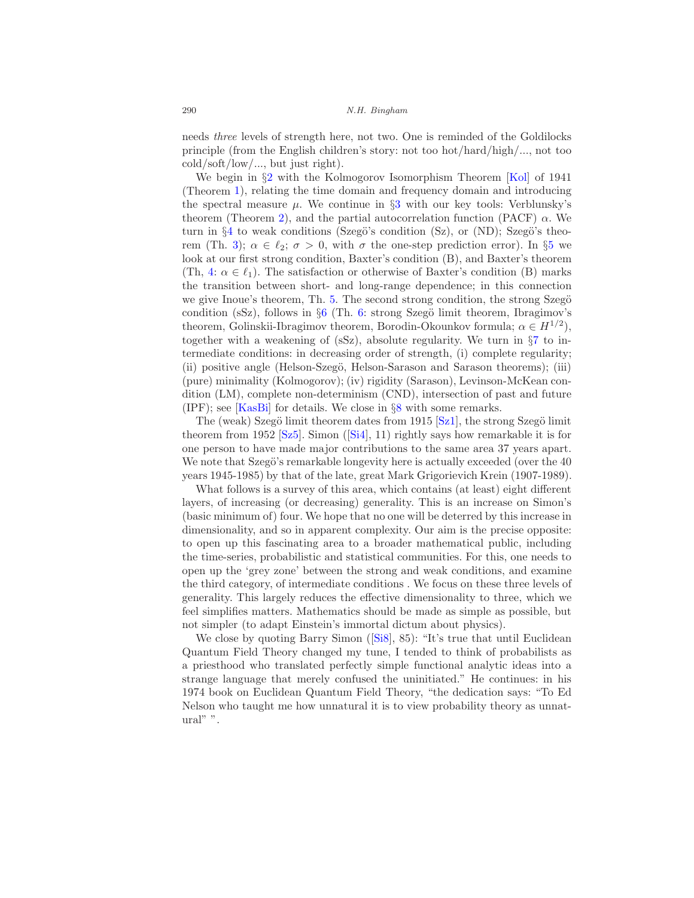needs three levels of strength here, not two. One is reminded of the Goldilocks principle (from the English children's story: not too hot/hard/high/..., not too cold/soft/low/..., but just right).

We begin in  $\S2$  $\S2$  with the Kolmogorov Isomorphism Theorem [\[Kol](#page-33-0)] of 1941 (Theorem [1\)](#page-4-1), relating the time domain and frequency domain and introducing the spectral measure  $\mu$ . We continue in §[3](#page-6-0) with our key tools: Verblunsky's theorem (Theorem [2\)](#page-6-1), and the partial autocorrelation function (PACF)  $\alpha$ . We turn in  $\S4$  $\S4$  to weak conditions (Szegö's condition (Sz), or (ND); Szegö's theorem (Th. 3);  $\alpha \in \ell_2$ ;  $\sigma > 0$ , with  $\sigma$  the one-step prediction error). In §[5](#page-15-0) we look at our first strong condition, Baxter's condition (B), and Baxter's theorem (Th, [4:](#page-15-1)  $\alpha \in \ell_1$ ). The satisfaction or otherwise of Baxter's condition (B) marks the transition between short- and long-range dependence; in this connection we give Inoue's theorem, Th. [5.](#page-15-2) The second strong condition, the strong Szegö condition (sSz), follows in  $\S6$  $\S6$  (Th. 6: strong Szegö limit theorem, Ibragimov's theorem, Golinskii-Ibragimov theorem, Borodin-Okounkov formula;  $\alpha \in H^{1/2}$ ), together with a weakening of  $(SZ)$ , absolute regularity. We turn in  $\S7$  $\S7$  to intermediate conditions: in decreasing order of strength, (i) complete regularity; (ii) positive angle (Helson-Szegö, Helson-Sarason and Sarason theorems); (iii) (pure) minimality (Kolmogorov); (iv) rigidity (Sarason), Levinson-McKean condition (LM), complete non-determinism (CND), intersection of past and future  $(IPF)$ ; see [\[KasBi\]](#page-33-2) for details. We close in  $\S 8$  $\S 8$  with some remarks.

The (weak) Szegö limit theorem dates from 1915  $[Sz1]$ , the strong Szegö limit theoremfrom 1952  $[Sz5]$ . Simon  $([Si4], 11)$  $([Si4], 11)$  $([Si4], 11)$  rightly says how remarkable it is for one person to have made major contributions to the same area 37 years apart. We note that Szegö's remarkable longevity here is actually exceeded (over the 40 years 1945-1985) by that of the late, great Mark Grigorievich Krein (1907-1989).

What follows is a survey of this area, which contains (at least) eight different layers, of increasing (or decreasing) generality. This is an increase on Simon's (basic minimum of) four. We hope that no one will be deterred by this increase in dimensionality, and so in apparent complexity. Our aim is the precise opposite: to open up this fascinating area to a broader mathematical public, including the time-series, probabilistic and statistical communities. For this, one needs to open up the 'grey zone' between the strong and weak conditions, and examine the third category, of intermediate conditions . We focus on these three levels of generality. This largely reduces the effective dimensionality to three, which we feel simplifies matters. Mathematics should be made as simple as possible, but not simpler (to adapt Einstein's immortal dictum about physics).

Weclose by quoting Barry Simon ([\[Si8](#page-36-9)], 85): "It's true that until Euclidean Quantum Field Theory changed my tune, I tended to think of probabilists as a priesthood who translated perfectly simple functional analytic ideas into a strange language that merely confused the uninitiated." He continues: in his 1974 book on Euclidean Quantum Field Theory, "the dedication says: "To Ed Nelson who taught me how unnatural it is to view probability theory as unnatural" ".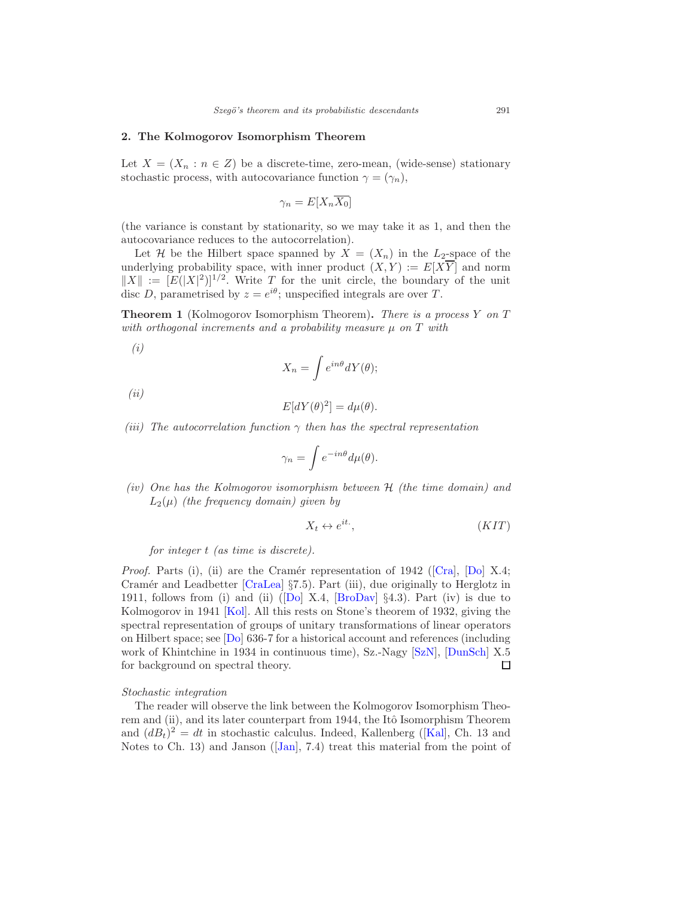# <span id="page-4-0"></span>2. The Kolmogorov Isomorphism Theorem

Let  $X = (X_n : n \in \mathbb{Z})$  be a discrete-time, zero-mean, (wide-sense) stationary stochastic process, with autocovariance function  $\gamma = (\gamma_n)$ ,

$$
\gamma_n = E[X_n \overline{X_0}]
$$

(the variance is constant by stationarity, so we may take it as 1, and then the autocovariance reduces to the autocorrelation).

Let H be the Hilbert space spanned by  $X = (X_n)$  in the L<sub>2</sub>-space of the underlying probability space, with inner product  $(X, Y) := E[X\overline{Y}]$  and norm  $||X|| := [E(|X|^2)]^{1/2}$ . Write T for the unit circle, the boundary of the unit disc D, parametrised by  $z = e^{i\theta}$ ; unspecified integrals are over T.

<span id="page-4-1"></span>Theorem 1 (Kolmogorov Isomorphism Theorem). There is a process Y on T with orthogonal increments and a probability measure  $\mu$  on  $T$  with

(i)

$$
X_n = \int e^{in\theta} dY(\theta);
$$

(ii)

$$
E[dY(\theta)^{2}] = d\mu(\theta).
$$

(iii) The autocorrelation function  $\gamma$  then has the spectral representation

$$
\gamma_n = \int e^{-in\theta} d\mu(\theta).
$$

(iv) One has the Kolmogorov isomorphism between  $H$  (the time domain) and  $L_2(\mu)$  (the frequency domain) given by

$$
X_t \leftrightarrow e^{it} \tag{KIT}
$$

for integer t (as time is discrete).

*Proof.*Parts (i), (ii) are the Cramér representation of 1942 ([\[Cra](#page-30-2)], [\[Do](#page-30-3)] X.4; Cramér and Leadbetter  $[CraLea]$  §7.5). Part (iii), due originally to Herglotz in 1911,follows from (i) and (ii)  $([Do] X.4, [BroDay] \S4.3)$  $([Do] X.4, [BroDay] \S4.3)$  $([Do] X.4, [BroDay] \S4.3)$ . Part (iv) is due to Kolmogorov in 1941 [\[Kol\]](#page-33-0). All this rests on Stone's theorem of 1932, giving the spectral representation of groups of unitary transformations of linear operators on Hilbert space; see [\[Do](#page-30-3)] 636-7 for a historical account and references (including work of Khintchine in 1934 in continuous time), Sz.-Nagy [\[SzN](#page-36-10)], [\[DunSch](#page-30-5)] X.5 for background on spectral theory.  $\Box$ 

#### Stochastic integration

The reader will observe the link between the Kolmogorov Isomorphism Theorem and (ii), and its later counterpart from 1944, the Itô Isomorphism Theorem and $(dB_t)^2 = dt$  in stochastic calculus. Indeed, Kallenberg ([\[Kal\]](#page-33-3), Ch. 13 and Notesto Ch. 13) and Janson ([\[Jan\]](#page-32-3), 7.4) treat this material from the point of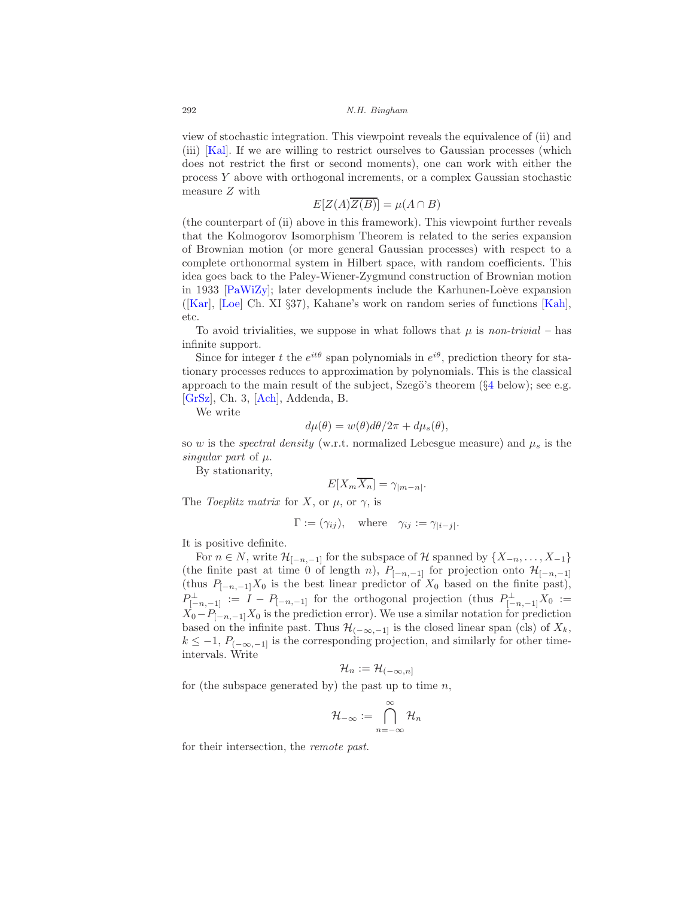view of stochastic integration. This viewpoint reveals the equivalence of (ii) and (iii) [\[Kal\]](#page-33-3). If we are willing to restrict ourselves to Gaussian processes (which does not restrict the first or second moments), one can work with either the process Y above with orthogonal increments, or a complex Gaussian stochastic measure Z with

$$
E[Z(A)\overline{Z(B)}] = \mu(A \cap B)
$$

(the counterpart of (ii) above in this framework). This viewpoint further reveals that the Kolmogorov Isomorphism Theorem is related to the series expansion of Brownian motion (or more general Gaussian processes) with respect to a complete orthonormal system in Hilbert space, with random coefficients. This idea goes back to the Paley-Wiener-Zygmund construction of Brownian motion in 1933  $\text{[PaWiZv]}$ ; later developments include the Karhunen-Loève expansion ([\[Kar\]](#page-33-4), [\[Loe\]](#page-34-1) Ch. XI §37), Kahane's work on random series of functions [\[Kah\]](#page-33-5), etc.

To avoid trivialities, we suppose in what follows that  $\mu$  is non-trivial – has infinite support.

Since for integer t the  $e^{it\theta}$  span polynomials in  $e^{i\theta}$ , prediction theory for stationary processes reduces to approximation by polynomials. This is the classical approach to the main result of the subject, Szegö's theorem  $(\S 4 \text{ below})$  $(\S 4 \text{ below})$  $(\S 4 \text{ below})$ ; see e.g. [\[GrSz](#page-31-4)], Ch. 3, [\[Ach\]](#page-27-2), Addenda, B.

We write

$$
d\mu(\theta) = w(\theta)d\theta/2\pi + d\mu_s(\theta),
$$

so w is the *spectral density* (w.r.t. normalized Lebesgue measure) and  $\mu_s$  is the singular part of  $\mu$ .

By stationarity,

$$
E[X_m X_n] = \gamma_{|m-n|}.
$$

The Toeplitz matrix for X, or  $\mu$ , or  $\gamma$ , is

$$
\Gamma := (\gamma_{ij}), \quad \text{where} \quad \gamma_{ij} := \gamma_{|i-j|}.
$$

It is positive definite.

For  $n \in N$ , write  $\mathcal{H}_{[-n,-1]}$  for the subspace of  $\mathcal{H}$  spanned by  $\{X_{-n},\ldots,X_{-1}\}$ (the finite past at time 0 of length n),  $P_{[-n,-1]}$  for projection onto  $\mathcal{H}_{[-n,-1]}$ (thus  $P_{[-n,-1]}X_0$  is the best linear predictor of  $X_0$  based on the finite past),  $P_{[-n,-1]}^{\perp} := I - P_{[-n,-1]}$  for the orthogonal projection (thus  $P_{[-n,-1]}^{\perp} X_0 :=$  $X_0-P_{[-n,-1]}X_0$  is the prediction error). We use a similar notation for prediction based on the infinite past. Thus  $\mathcal{H}_{(-\infty,-1]}$  is the closed linear span (cls) of  $X_k$ ,  $k \leq -1$ ,  $P_{(-\infty,-1]}$  is the corresponding projection, and similarly for other timeintervals. Write

$$
\mathcal{H}_n:=\mathcal{H}_{(-\infty,n]}
$$

for (the subspace generated by) the past up to time  $n$ ,

$$
\mathcal{H}_{-\infty}:=\bigcap_{n=-\infty}^{\infty}\mathcal{H}_n
$$

for their intersection, the remote past.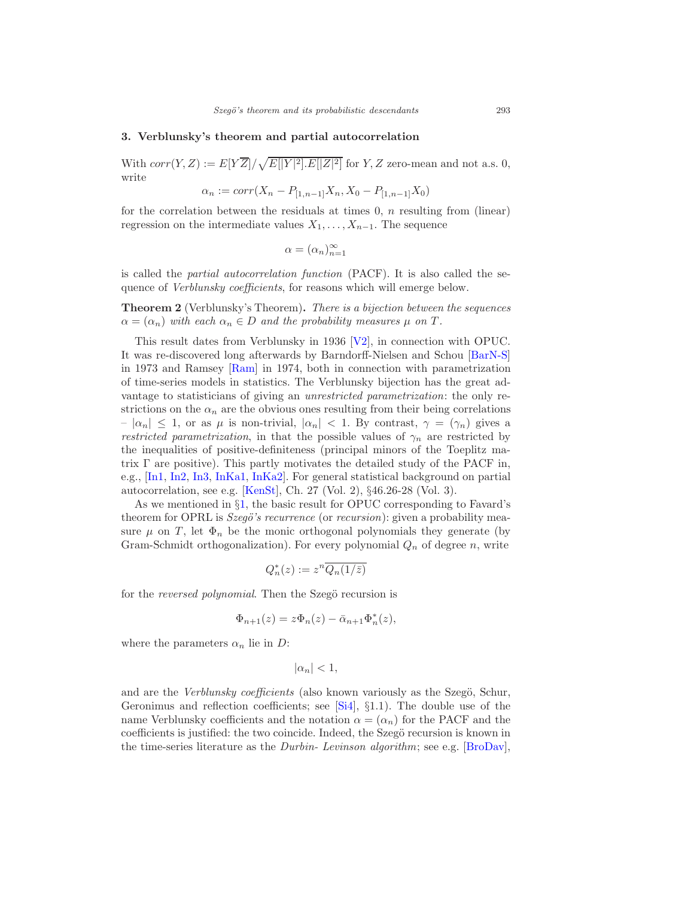#### <span id="page-6-0"></span>3. Verblunsky's theorem and partial autocorrelation

With  $corr(Y, Z) := E[Y\overline{Z}]/\sqrt{E[|Y|^2].E[|Z|^2]}$  for  $Y, Z$  zero-mean and not a.s. 0, write

$$
\alpha_n := corr(X_n - P_{[1,n-1]}X_n, X_0 - P_{[1,n-1]}X_0)
$$

for the correlation between the residuals at times  $0, n$  resulting from (linear) regression on the intermediate values  $X_1, \ldots, X_{n-1}$ . The sequence

$$
\alpha = (\alpha_n)_{n=1}^{\infty}
$$

is called the partial autocorrelation function (PACF). It is also called the sequence of Verblunsky coefficients, for reasons which will emerge below.

<span id="page-6-1"></span>Theorem 2 (Verblunsky's Theorem). There is a bijection between the sequences  $\alpha = (\alpha_n)$  with each  $\alpha_n \in D$  and the probability measures  $\mu$  on T.

This result dates from Verblunsky in 1936 [\[V2](#page-37-3)], in connection with OPUC. It was re-discovered long afterwards by Barndorff-Nielsen and Schou [\[BarN-S\]](#page-28-1) in 1973 and Ramsey [\[Ram\]](#page-35-4) in 1974, both in connection with parametrization of time-series models in statistics. The Verblunsky bijection has the great advantage to statisticians of giving an unrestricted parametrization: the only restrictions on the  $\alpha_n$  are the obvious ones resulting from their being correlations  $-|\alpha_n| \leq 1$ , or as  $\mu$  is non-trivial,  $|\alpha_n| < 1$ . By contrast,  $\gamma = (\gamma_n)$  gives a restricted parametrization, in that the possible values of  $\gamma_n$  are restricted by the inequalities of positive-definiteness (principal minors of the Toeplitz matrix  $\Gamma$  are positive). This partly motivates the detailed study of the PACF in, e.g., [\[In1](#page-32-4), [In2](#page-32-5), [In3](#page-32-1), [InKa1,](#page-32-6) [InKa2\]](#page-32-2). For general statistical background on partial autocorrelation, see e.g. [\[KenSt](#page-33-6)], Ch. 27 (Vol. 2), §46.26-28 (Vol. 3).

As we mentioned in §[1,](#page-1-0) the basic result for OPUC corresponding to Favard's theorem for OPRL is Szegö's recurrence (or recursion): given a probability measure  $\mu$  on T, let  $\Phi_n$  be the monic orthogonal polynomials they generate (by Gram-Schmidt orthogonalization). For every polynomial  $Q_n$  of degree n, write

$$
Q_n^*(z):=z^n\overline{Q_n(1/\bar{z})}
$$

for the *reversed polynomial*. Then the Szegö recursion is

$$
\Phi_{n+1}(z) = z \Phi_n(z) - \bar{\alpha}_{n+1} \Phi_n^*(z),
$$

where the parameters  $\alpha_n$  lie in D:

$$
|\alpha_n|<1,
$$

and are the Verblunsky coefficients (also known variously as the Szegö, Schur, Geronimus and reflection coefficients; see [\[Si4\]](#page-36-3), §1.1). The double use of the name Verblunsky coefficients and the notation  $\alpha = (\alpha_n)$  for the PACF and the coefficients is justified: the two coincide. Indeed, the Szegö recursion is known in the time-series literature as the Durbin- Levinson algorithm; see e.g. [\[BroDav](#page-30-1)],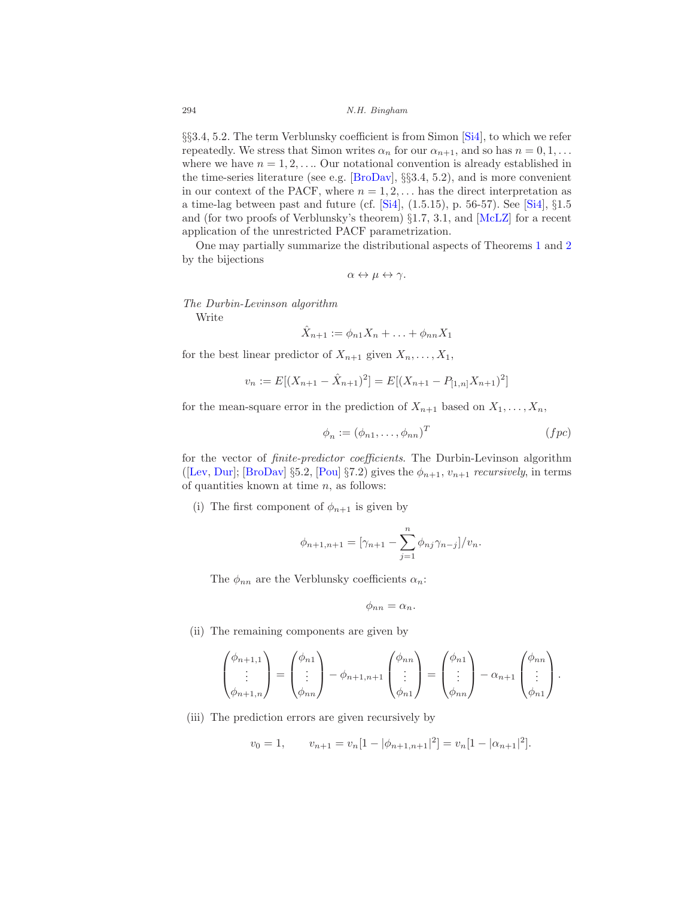§§3.4, 5.2. The term Verblunsky coefficient is from Simon [\[Si4](#page-36-3)], to which we refer repeatedly. We stress that Simon writes  $\alpha_n$  for our  $\alpha_{n+1}$ , and so has  $n = 0, 1, \ldots$ where we have  $n = 1, 2, \ldots$  Our notational convention is already established in the time-series literature (see e.g. [\[BroDav](#page-30-1)],  $\S$ §3.4, 5.2), and is more convenient in our context of the PACF, where  $n = 1, 2, \ldots$  has the direct interpretation as a time-lag between past and future (cf. [\[Si4](#page-36-3)], (1.5.15), p. 56-57). See [\[Si4](#page-36-3)], §1.5 and (for two proofs of Verblunsky's theorem) §1.7, 3.1, and [\[McLZ\]](#page-34-2) for a recent application of the unrestricted PACF parametrization.

One may partially summarize the distributional aspects of Theorems [1](#page-4-1) and [2](#page-6-1) by the bijections

$$
\alpha\leftrightarrow\mu\leftrightarrow\gamma.
$$

The Durbin-Levinson algorithm

Write

$$
\hat{X}_{n+1} := \phi_{n1} X_n + \ldots + \phi_{nn} X_1
$$

for the best linear predictor of  $X_{n+1}$  given  $X_n, \ldots, X_1$ ,

$$
v_n := E[(X_{n+1} - \hat{X}_{n+1})^2] = E[(X_{n+1} - P_{[1,n]}X_{n+1})^2]
$$

for the mean-square error in the prediction of  $X_{n+1}$  based on  $X_1, \ldots, X_n$ ,

$$
\phi_n := (\phi_{n1}, \dots, \phi_{nn})^T \qquad (fpc)
$$

for the vector of finite-predictor coefficients. The Durbin-Levinson algorithm ([\[Lev](#page-34-3), [Dur\]](#page-30-6); [\[BroDav](#page-30-1)] §5.2, [\[Pou](#page-35-5)] §7.2) gives the  $\phi_{n+1}, v_{n+1}$  recursively, in terms of quantities known at time  $n$ , as follows:

(i) The first component of  $\phi_{n+1}$  is given by

$$
\phi_{n+1,n+1} = [\gamma_{n+1} - \sum_{j=1}^{n} \phi_{nj} \gamma_{n-j}] / v_n.
$$

The  $\phi_{nn}$  are the Verblunsky coefficients  $\alpha_n$ :

$$
\phi_{nn}=\alpha_n.
$$

(ii) The remaining components are given by

$$
\begin{pmatrix} \phi_{n+1,1} \\ \vdots \\ \phi_{n+1,n} \end{pmatrix} = \begin{pmatrix} \phi_{n1} \\ \vdots \\ \phi_{nn} \end{pmatrix} - \phi_{n+1,n+1} \begin{pmatrix} \phi_{nn} \\ \vdots \\ \phi_{n1} \end{pmatrix} = \begin{pmatrix} \phi_{n1} \\ \vdots \\ \phi_{nn} \end{pmatrix} - \alpha_{n+1} \begin{pmatrix} \phi_{nn} \\ \vdots \\ \phi_{n1} \end{pmatrix}.
$$

(iii) The prediction errors are given recursively by

$$
v_0 = 1,
$$
  $v_{n+1} = v_n[1 - |\phi_{n+1,n+1}|^2] = v_n[1 - |\alpha_{n+1}|^2].$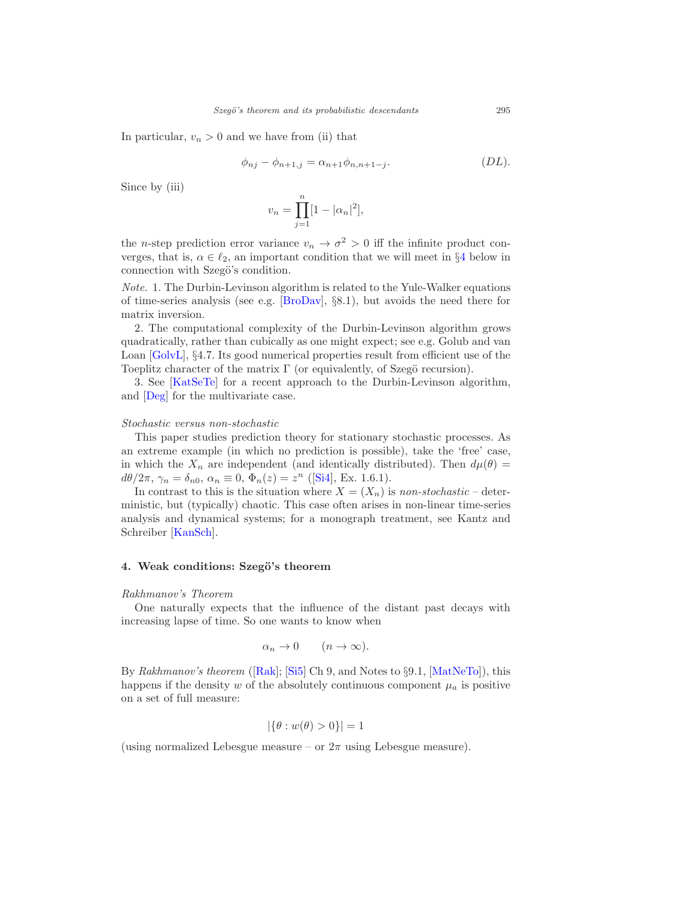In particular,  $v_n > 0$  and we have from (ii) that

$$
\phi_{nj} - \phi_{n+1,j} = \alpha_{n+1}\phi_{n,n+1-j}.\tag{DL}.
$$

Since by (iii)

$$
v_n = \prod_{j=1}^n [1 - |\alpha_n|^2],
$$

the *n*-step prediction error variance  $v_n \to \sigma^2 > 0$  iff the infinite product converges, that is,  $\alpha \in \ell_2$ , an important condition that we will meet in §[4](#page-8-0) below in connection with Szegö's condition.

Note. 1. The Durbin-Levinson algorithm is related to the Yule-Walker equations of time-series analysis (see e.g. [\[BroDav](#page-30-1)], §8.1), but avoids the need there for matrix inversion.

2. The computational complexity of the Durbin-Levinson algorithm grows quadratically, rather than cubically as one might expect; see e.g. Golub and van Loan [\[GolvL](#page-31-5)], §4.7. Its good numerical properties result from efficient use of the Toeplitz character of the matrix  $\Gamma$  (or equivalently, of Szegö recursion).

3. See [\[KatSeTe\]](#page-33-7) for a recent approach to the Durbin-Levinson algorithm, and [\[Deg](#page-30-7)] for the multivariate case.

#### Stochastic versus non-stochastic

This paper studies prediction theory for stationary stochastic processes. As an extreme example (in which no prediction is possible), take the 'free' case, in which the  $X_n$  are independent (and identically distributed). Then  $d\mu(\theta)$  =  $d\theta/2\pi$ ,  $\gamma_n = \delta_{n0}$ ,  $\alpha_n \equiv 0$ ,  $\Phi_n(z) = z^n$  ([\[Si4](#page-36-3)], Ex. 1.6.1).

In contrast to this is the situation where  $X = (X_n)$  is non-stochastic – deterministic, but (typically) chaotic. This case often arises in non-linear time-series analysis and dynamical systems; for a monograph treatment, see Kantz and Schreiber [\[KanSch\]](#page-33-8).

# <span id="page-8-0"></span>4. Weak conditions: Szegö's theorem

#### Rakhmanov's Theorem

One naturally expects that the influence of the distant past decays with increasing lapse of time. So one wants to know when

$$
\alpha_n \to 0 \qquad (n \to \infty).
$$

By Rakhmanov's theorem ([\[Rak](#page-35-6)]; [\[Si5\]](#page-36-4) Ch 9, and Notes to §9.1, [\[MatNeTo\]](#page-34-4)), this happens if the density w of the absolutely continuous component  $\mu_a$  is positive on a set of full measure:

$$
|\{\theta : w(\theta) > 0\}| = 1
$$

(using normalized Lebesgue measure – or  $2\pi$  using Lebesgue measure).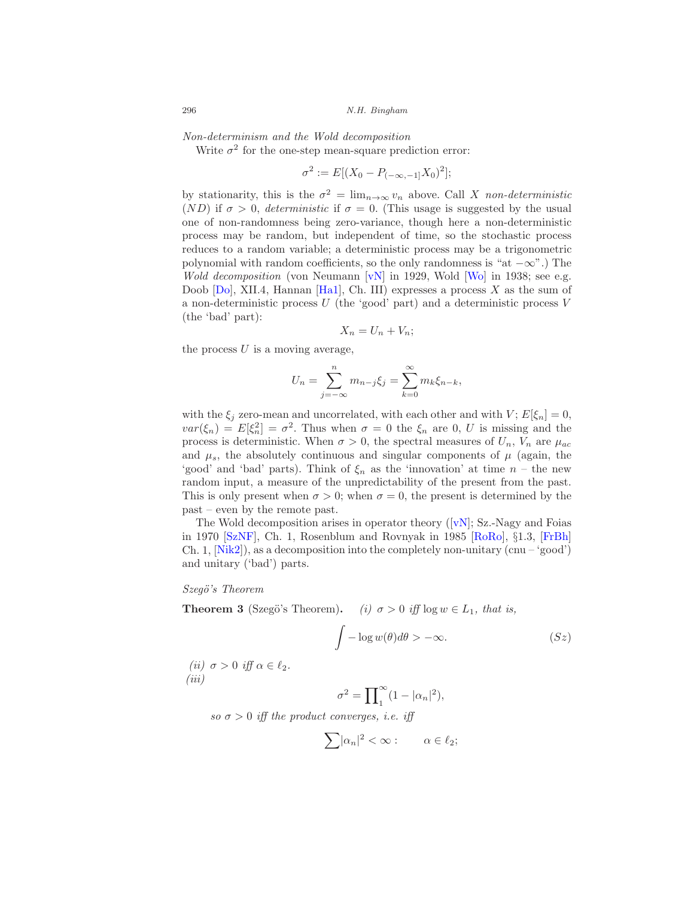Non-determinism and the Wold decomposition

Write  $\sigma^2$  for the one-step mean-square prediction error:

$$
\sigma^2 := E[(X_0 - P_{(-\infty, -1]}X_0)^2];
$$

by stationarity, this is the  $\sigma^2 = \lim_{n \to \infty} v_n$  above. Call X non-deterministic (ND) if  $\sigma > 0$ , *deterministic* if  $\sigma = 0$ . (This usage is suggested by the usual one of non-randomness being zero-variance, though here a non-deterministic process may be random, but independent of time, so the stochastic process reduces to a random variable; a deterministic process may be a trigonometric polynomial with random coefficients, so the only randomness is "at  $-\infty$ ".) The Wold decomposition (von Neumann  $[vN]$  in 1929, Wold  $[W_0]$  in 1938; see e.g. Doob  $[D_0]$ , XII.4, Hannan [\[Ha1\]](#page-32-7), Ch. III) expresses a process X as the sum of a non-deterministic process  $U$  (the 'good' part) and a deterministic process  $V$ (the 'bad' part):

$$
X_n = U_n + V_n;
$$

the process  $U$  is a moving average,

$$
U_n = \sum_{j=-\infty}^{n} m_{n-j} \xi_j = \sum_{k=0}^{\infty} m_k \xi_{n-k},
$$

with the  $\xi_j$  zero-mean and uncorrelated, with each other and with  $V; E[\xi_n] = 0$ ,  $var(\xi_n) = E[\xi_n^2] = \sigma^2$ . Thus when  $\sigma = 0$  the  $\xi_n$  are 0, U is missing and the process is deterministic. When  $\sigma > 0$ , the spectral measures of  $U_n$ ,  $V_n$  are  $\mu_{ac}$ and  $\mu_s$ , the absolutely continuous and singular components of  $\mu$  (again, the 'good' and 'bad' parts). Think of  $\xi_n$  as the 'innovation' at time  $n -$  the new random input, a measure of the unpredictability of the present from the past. This is only present when  $\sigma > 0$ ; when  $\sigma = 0$ , the present is determined by the past – even by the remote past.

TheWold decomposition arises in operator theory  $([vN]; S_z-Nagy$  $([vN]; S_z-Nagy$  $([vN]; S_z-Nagy$  and Foias in 1970 [\[SzNF\]](#page-36-11), Ch. 1, Rosenblum and Rovnyak in 1985 [\[RoRo](#page-35-8)], §1.3, [\[FrBh\]](#page-31-6) Ch. 1,  $[Nik2]$ , as a decomposition into the completely non-unitary (cnu – 'good') and unitary ('bad') parts.

#### Szegö's Theorem

**Theorem 3** (Szegö's Theorem). (i)  $\sigma > 0$  iff  $\log w \in L_1$ , that is,

$$
\int -\log w(\theta)d\theta > -\infty.
$$
 (Sz)

(ii)  $\sigma > 0$  iff  $\alpha \in \ell_2$ . (iii)

$$
\sigma^2 = \prod_{1}^{\infty} (1 - |\alpha_n|^2),
$$

so  $\sigma > 0$  iff the product converges, i.e. iff

$$
\sum |\alpha_n|^2 < \infty: \qquad \alpha \in \ell_2;
$$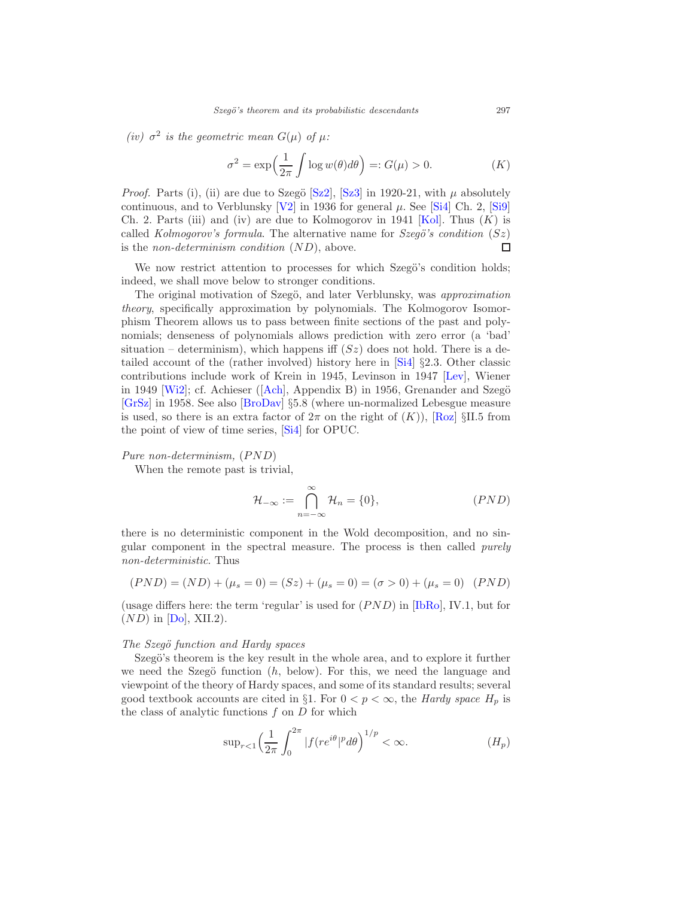(iv)  $\sigma^2$  is the geometric mean  $G(\mu)$  of  $\mu$ :

$$
\sigma^2 = \exp\left(\frac{1}{2\pi} \int \log w(\theta) d\theta\right) =: G(\mu) > 0. \tag{K}
$$

*Proof.* Parts (i), (ii) are due to Szegö  $[Sz2]$ ,  $[Sz3]$  in 1920-21, with  $\mu$  absolutely continuous, and to Verblunsky  $[V2]$  in 1936 for general  $\mu$ . See [\[Si4\]](#page-36-3) Ch. 2, [\[Si9\]](#page-36-6) Ch. 2. Parts (iii) and (iv) are due to Kolmogorov in 1941 [\[Kol](#page-33-0)]. Thus  $(K)$  is called Kolmogorov's formula. The alternative name for Szegö's condition  $(Sz)$ is the *non-determinism condition*  $(ND)$ , above. □

We now restrict attention to processes for which Szegö's condition holds; indeed, we shall move below to stronger conditions.

The original motivation of Szegö, and later Verblunsky, was *approximation* theory, specifically approximation by polynomials. The Kolmogorov Isomorphism Theorem allows us to pass between finite sections of the past and polynomials; denseness of polynomials allows prediction with zero error (a 'bad' situation – determinism), which happens iff  $(Sz)$  does not hold. There is a detailed account of the (rather involved) history here in [\[Si4\]](#page-36-3) §2.3. Other classic contributions include work of Krein in 1945, Levinson in 1947 [\[Lev](#page-34-3)], Wiener in1949  $[Wi2]$ ; cf. Achieser ( $[Ach]$ , Appendix B) in 1956, Grenander and Szegö [\[GrSz](#page-31-4)] in 1958. See also [\[BroDav](#page-30-1)] §5.8 (where un-normalized Lebesgue measure is used, so there is an extra factor of  $2\pi$  on the right of  $(K)$ ), [\[Roz\]](#page-35-9) §II.5 from the point of view of time series, [\[Si4\]](#page-36-3) for OPUC.

# Pure non-determinism,  $(PND)$

When the remote past is trivial,

$$
\mathcal{H}_{-\infty} := \bigcap_{n=-\infty}^{\infty} \mathcal{H}_n = \{0\},\tag{PND}
$$

there is no deterministic component in the Wold decomposition, and no singular component in the spectral measure. The process is then called purely non-deterministic. Thus

$$
(PND) = (ND) + (\mu_s = 0) = (Sz) + (\mu_s = 0) = (\sigma > 0) + (\mu_s = 0) \quad (PND)
$$

(usage differs here: the term 'regular' is used for  $(PND)$  in  $[IBRo]$ , IV.1, but for  $(ND)$  in  $[D<sub>o</sub>]$ , XII.2).

#### The Szegö function and Hardy spaces

Szegö's theorem is the key result in the whole area, and to explore it further we need the Szegö function  $(h, \text{ below})$ . For this, we need the language and viewpoint of the theory of Hardy spaces, and some of its standard results; several good textbook accounts are cited in §1. For  $0 < p < \infty$ , the *Hardy space*  $H_p$  is the class of analytic functions  $f$  on  $D$  for which

$$
\sup_{r<1} \left(\frac{1}{2\pi} \int_0^{2\pi} |f(re^{i\theta}|^p d\theta)\right)^{1/p} < \infty. \tag{H_p}
$$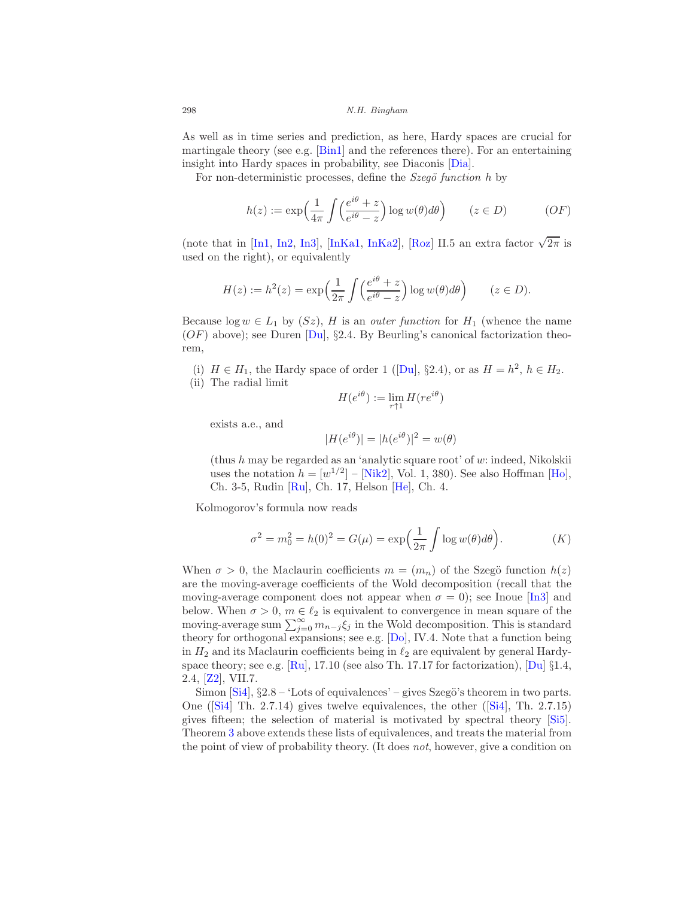As well as in time series and prediction, as here, Hardy spaces are crucial for martingale theory (see e.g. [\[Bin1\]](#page-28-2) and the references there). For an entertaining insight into Hardy spaces in probability, see Diaconis [\[Dia](#page-30-8)].

For non-deterministic processes, define the  $Szeg\ddot{o}$  function h by

$$
h(z) := \exp\left(\frac{1}{4\pi} \int \left(\frac{e^{i\theta} + z}{e^{i\theta} - z}\right) \log w(\theta) d\theta\right) \qquad (z \in D) \tag{OF}
$$

(note that in [\[In1,](#page-32-4) [In2,](#page-32-5) [In3](#page-32-1)], [\[InKa1,](#page-32-6) [InKa2](#page-32-2)], [\[Roz](#page-35-9)] II.5 an extra factor  $\sqrt{2\pi}$  is used on the right), or equivalently

$$
H(z) := h^{2}(z) = \exp\left(\frac{1}{2\pi} \int \left(\frac{e^{i\theta} + z}{e^{i\theta} - z}\right) \log w(\theta) d\theta\right) \qquad (z \in D).
$$

Because  $log w \in L_1$  by  $(Sz)$ , H is an *outer function* for  $H_1$  (whence the name  $(OF)$  above); see Duren  $D_{\mathbf{u}}$ , §2.4. By Beurling's canonical factorization theorem,

(i) $H \in H_1$ , the Hardy space of order 1 ([\[Du](#page-30-0)], §2.4), or as  $H = h^2$ ,  $h \in H_2$ . (ii) The radial limit

$$
H(e^{i\theta}) := \lim_{r \uparrow 1} H(re^{i\theta})
$$

exists a.e., and

$$
|H(e^{i\theta})| = |h(e^{i\theta})|^2 = w(\theta)
$$

(thus  $h$  may be regarded as an 'analytic square root' of  $w$ : indeed, Nikolskii uses the notation  $h = [w^{1/2}] - [\text{Nik2}], \text{ Vol. } 1, 380$ . See also Hoffman [\[Ho\]](#page-32-0), Ch. 3-5, Rudin [\[Ru](#page-35-10)], Ch. 17, Helson [\[He](#page-32-9)], Ch. 4.

Kolmogorov's formula now reads

$$
\sigma^2 = m_0^2 = h(0)^2 = G(\mu) = \exp\left(\frac{1}{2\pi} \int \log w(\theta) d\theta\right). \tag{K}
$$

When  $\sigma > 0$ , the Maclaurin coefficients  $m = (m_n)$  of the Szegö function  $h(z)$ are the moving-average coefficients of the Wold decomposition (recall that the moving-average component does not appear when  $\sigma = 0$ ); see Inoue [\[In3\]](#page-32-1) and below. When  $\sigma > 0$ ,  $m \in \ell_2$  is equivalent to convergence in mean square of the moving-average sum  $\sum_{j=0}^{\infty} m_{n-j} \xi_j$  in the Wold decomposition. This is standard theory for orthogonal expansions; see e.g. [\[Do\]](#page-30-3), IV.4. Note that a function being in  $H_2$  and its Maclaurin coefficients being in  $\ell_2$  are equivalent by general Hardyspace theory; see e.g.  $[Ru]$ , 17.10 (see also Th. 17.17 for factorization),  $[Du] \S 1.4$ , 2.4, [\[Z2](#page-37-5)], VII.7.

Simon  $[Si4]$ ,  $\S 2.8 - 1$  Lots of equivalences' – gives Szegö's theorem in two parts. One([\[Si4\]](#page-36-3) Th. 2.7.14) gives twelve equivalences, the other([\[Si4](#page-36-3)], Th. 2.7.15) gives fifteen; the selection of material is motivated by spectral theory [\[Si5\]](#page-36-4). Theorem 3 above extends these lists of equivalences, and treats the material from the point of view of probability theory. (It does not, however, give a condition on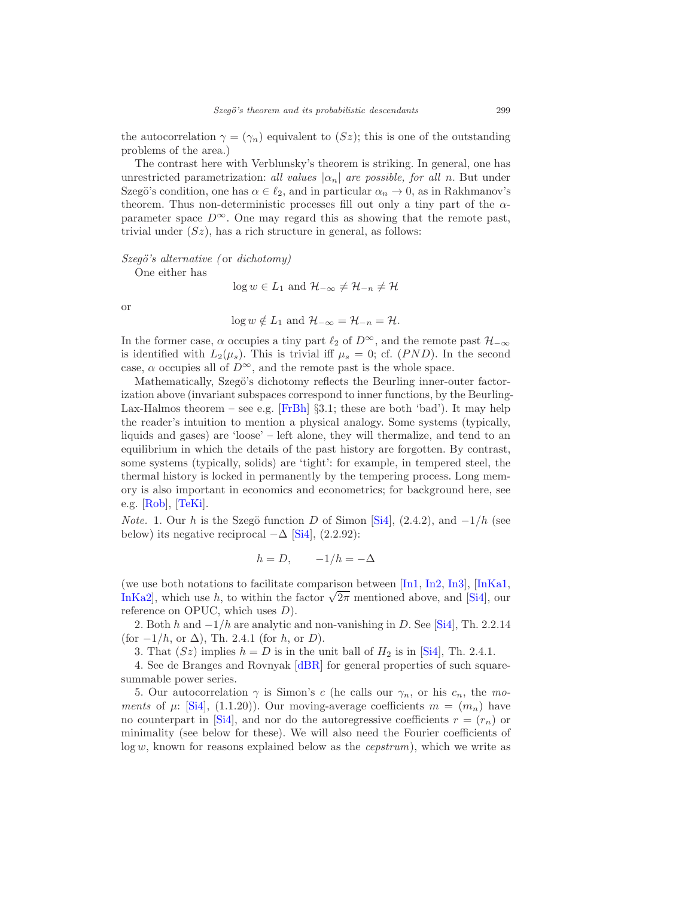the autocorrelation  $\gamma = (\gamma_n)$  equivalent to  $(Sz)$ ; this is one of the outstanding problems of the area.)

The contrast here with Verblunsky's theorem is striking. In general, one has unrestricted parametrization: all values  $|\alpha_n|$  are possible, for all n. But under Szegö's condition, one has  $\alpha \in \ell_2$ , and in particular  $\alpha_n \to 0$ , as in Rakhmanov's theorem. Thus non-deterministic processes fill out only a tiny part of the  $\alpha$ parameter space  $D^{\infty}$ . One may regard this as showing that the remote past, trivial under  $(Sz)$ , has a rich structure in general, as follows:

 $Szeg\ddot{o}$ 's alternative (or dichotomy)

One either has

 $\log w \in L_1$  and  $\mathcal{H}_{-\infty} \neq \mathcal{H}_{-n} \neq \mathcal{H}$ 

or

$$
\log w \notin L_1
$$
 and  $\mathcal{H}_{-\infty} = \mathcal{H}_{-n} = \mathcal{H}.$ 

In the former case,  $\alpha$  occupies a tiny part  $\ell_2$  of  $D^\infty,$  and the remote past  $\mathcal{H}_{-\infty}$ is identified with  $L_2(\mu_s)$ . This is trivial iff  $\mu_s = 0$ ; cf. (PND). In the second case,  $\alpha$  occupies all of  $D^{\infty}$ , and the remote past is the whole space.

Mathematically, Szegö's dichotomy reflects the Beurling inner-outer factorization above (invariant subspaces correspond to inner functions, by the Beurling-Lax-Halmos theorem – see e.g. [\[FrBh\]](#page-31-6)  $\S3.1$ ; these are both 'bad'). It may help the reader's intuition to mention a physical analogy. Some systems (typically, liquids and gases) are 'loose' – left alone, they will thermalize, and tend to an equilibrium in which the details of the past history are forgotten. By contrast, some systems (typically, solids) are 'tight': for example, in tempered steel, the thermal history is locked in permanently by the tempering process. Long memory is also important in economics and econometrics; for background here, see e.g. [\[Rob\]](#page-35-11), [\[TeKi\]](#page-36-12).

*Note.* 1. Our h is the Szegö function D of Simon [\[Si4](#page-36-3)],  $(2.4.2)$ , and  $-1/h$  (see below) its negative reciprocal  $-\Delta$  [\[Si4](#page-36-3)], (2.2.92):

$$
h = D, \qquad -1/h = -\Delta
$$

(we use both notations to facilitate comparison between [\[In1,](#page-32-4) [In2,](#page-32-5) [In3\]](#page-32-1), [\[InKa1,](#page-32-6) [InKa2\]](#page-32-2), which use h, to within the factor  $\sqrt{2\pi}$  mentioned above, and [\[Si4](#page-36-3)], our reference on OPUC, which uses  $D$ ).

2. Both h and  $-1/h$  are analytic and non-vanishing in D. See [\[Si4\]](#page-36-3), Th. 2.2.14 (for  $-1/h$ , or  $\Delta$ ), Th. 2.4.1 (for h, or D).

3. That  $(Sz)$  implies  $h = D$  is in the unit ball of  $H_2$  is in [\[Si4\]](#page-36-3), Th. 2.4.1.

4. See de Branges and Rovnyak [\[dBR](#page-29-2)] for general properties of such squaresummable power series.

5. Our autocorrelation  $\gamma$  is Simon's c (he calls our  $\gamma_n$ , or his  $c_n$ , the moments of  $\mu$ : [\[Si4\]](#page-36-3), (1.1.20)). Our moving-average coefficients  $m = (m_n)$  have no counterpart in [\[Si4](#page-36-3)], and nor do the autoregressive coefficients  $r = (r_n)$  or minimality (see below for these). We will also need the Fourier coefficients of  $log w$ , known for reasons explained below as the *cepstrum*), which we write as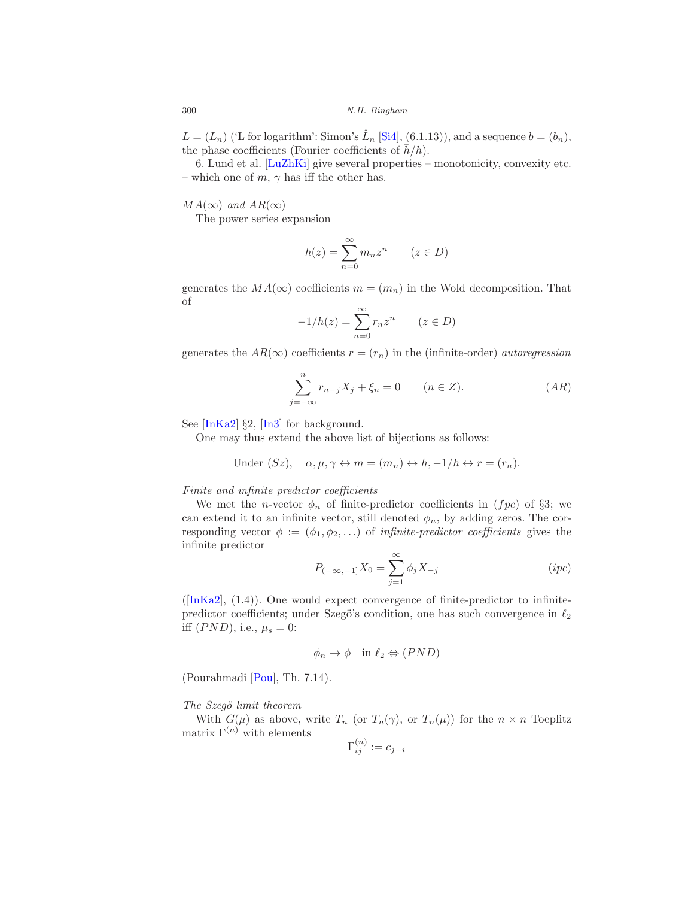$L = (L_n)$  ('L for logarithm': Simon's  $\hat{L}_n$  [\[Si4\]](#page-36-3), (6.1.13)), and a sequence  $b = (b_n)$ , the phase coefficients (Fourier coefficients of  $\bar{h}/h$ ).

6. Lund et al. [\[LuZhKi](#page-34-5)] give several properties – monotonicity, convexity etc. – which one of  $m, \gamma$  has iff the other has.

 $MA(\infty)$  and  $AR(\infty)$ 

The power series expansion

$$
h(z) = \sum_{n=0}^{\infty} m_n z^n \qquad (z \in D)
$$

generates the  $MA(\infty)$  coefficients  $m = (m_n)$  in the Wold decomposition. That of

$$
-1/h(z) = \sum_{n=0}^{\infty} r_n z^n \qquad (z \in D)
$$

generates the  $AR(\infty)$  coefficients  $r = (r_n)$  in the (infinite-order) *autoregression* 

$$
\sum_{j=-\infty}^{n} r_{n-j} X_j + \xi_n = 0 \qquad (n \in Z). \tag{AR}
$$

See  $[InKa2]$  §2,  $[In3]$  for background.

One may thus extend the above list of bijections as follows:

Under 
$$
(Sz)
$$
,  $\alpha, \mu, \gamma \leftrightarrow m = (m_n) \leftrightarrow h, -1/h \leftrightarrow r = (r_n)$ .

Finite and infinite predictor coefficients

We met the *n*-vector  $\phi_n$  of finite-predictor coefficients in (*fpc*) of §3; we can extend it to an infinite vector, still denoted  $\phi_n$ , by adding zeros. The corresponding vector  $\phi := (\phi_1, \phi_2, \ldots)$  of *infinite-predictor coefficients* gives the infinite predictor

$$
P_{(-\infty,-1]}X_0 = \sum_{j=1}^{\infty} \phi_j X_{-j}
$$
 (*ipc*)

 $([InKa2], (1.4)).$  $([InKa2], (1.4)).$  $([InKa2], (1.4)).$  One would expect convergence of finite-predictor to infinitepredictor coefficients; under Szegö's condition, one has such convergence in  $\ell_2$ iff  $(PND)$ , i.e.,  $\mu_s = 0$ :

$$
\phi_n \to \phi \quad \text{in } \ell_2 \Leftrightarrow (PND)
$$

(Pourahmadi [\[Pou\]](#page-35-5), Th. 7.14).

#### The Szegö limit theorem

With  $G(\mu)$  as above, write  $T_n$  (or  $T_n(\gamma)$ , or  $T_n(\mu)$ ) for the  $n \times n$  Toeplitz matrix  $\Gamma^{(n)}$  with elements

$$
\Gamma^{(n)}_{ij}:=c_{j-i}
$$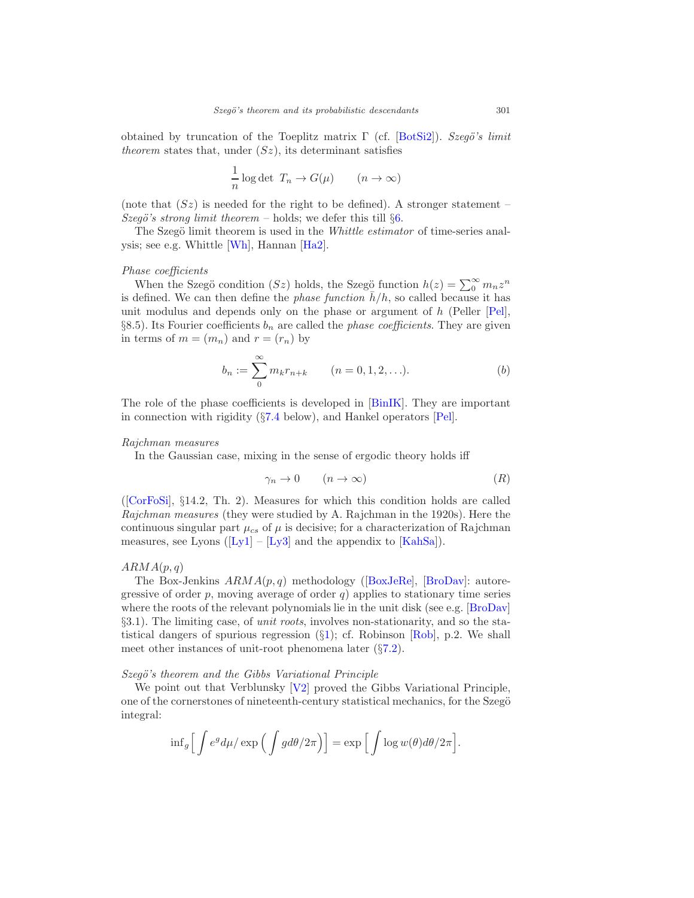obtained by truncation of the Toeplitz matrix  $\Gamma$  (cf. [\[BotSi2](#page-29-3)]). Szegö's limit theorem states that, under  $(Sz)$ , its determinant satisfies

$$
\frac{1}{n}\log \det\ T_n \to G(\mu) \qquad (n \to \infty)
$$

(note that  $(Sz)$  is needed for the right to be defined). A stronger statement – Szegö's strong limit theorem – holds; we defer this till  $\S6$ .

The Szegö limit theorem is used in the *Whittle estimator* of time-series analysis; see e.g. Whittle [\[Wh\]](#page-37-6), Hannan [\[Ha2](#page-32-10)].

#### Phase coefficients

When the Szegö condition (Sz) holds, the Szegö function  $h(z) = \sum_{n=0}^{\infty} m_n z^n$ is defined. We can then define the *phase function*  $h/h$ , so called because it has unit modulus and depends only on the phase or argument of  $h$  (Peller [\[Pel](#page-35-12)], §8.5). Its Fourier coefficients  $b_n$  are called the *phase coefficients*. They are given in terms of  $m = (m_n)$  and  $r = (r_n)$  by

$$
b_n := \sum_{0}^{\infty} m_k r_{n+k} \qquad (n = 0, 1, 2, \ldots).
$$
 (b)

The role of the phase coefficients is developed in [\[BinIK](#page-28-3)]. They are important in connection with rigidity (§[7.4](#page-24-0) below), and Hankel operators [\[Pel\]](#page-35-12).

#### Rajchman measures

In the Gaussian case, mixing in the sense of ergodic theory holds iff

$$
\gamma_n \to 0 \qquad (n \to \infty) \tag{R}
$$

([\[CorFoSi\]](#page-30-9), §14.2, Th. 2). Measures for which this condition holds are called Rajchman measures (they were studied by A. Rajchman in the 1920s). Here the continuous singular part  $\mu_{cs}$  of  $\mu$  is decisive; for a characterization of Rajchman measures,see Lyons  $([Ly1] - [Ly3]$  $([Ly1] - [Ly3]$  $([Ly1] - [Ly3]$  $([Ly1] - [Ly3]$  $([Ly1] - [Ly3]$  and the appendix to  $[KahSa]$ .

# $ARMA(p, q)$

TheBox-Jenkins  $ARMA(p, q)$  methodology ([\[BoxJeRe](#page-29-1)], [\[BroDav\]](#page-30-1): autoregressive of order  $p$ , moving average of order  $q$ ) applies to stationary time series where the roots of the relevant polynomials lie in the unit disk (see e.g.  $\left[\text{BroDav}\right]$ §3.1). The limiting case, of unit roots, involves non-stationarity, and so the statistical dangers of spurious regression  $(\S1)$  $(\S1)$ ; cf. Robinson [\[Rob](#page-35-11)], p.2. We shall meet other instances of unit-root phenomena later (§[7.2\)](#page-22-2).

#### $Szeg\ddot{o}$ 's theorem and the Gibbs Variational Principle

We point out that Verblunsky [\[V2\]](#page-37-3) proved the Gibbs Variational Principle, one of the cornerstones of nineteenth-century statistical mechanics, for the Szegö integral:

$$
\inf_g \Big[ \int e^g d\mu / \exp \Big( \int g d\theta / 2\pi \Big) \Big] = \exp \Big[ \int \log w(\theta) d\theta / 2\pi \Big].
$$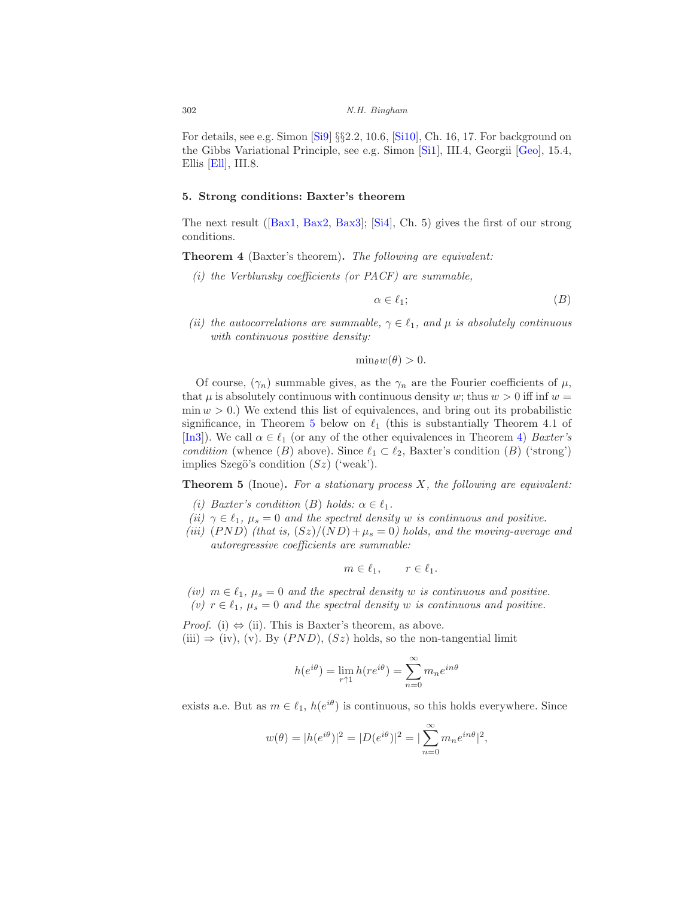For details, see e.g. Simon [\[Si9](#page-36-6)] §§2.2, 10.6, [\[Si10\]](#page-36-13), Ch. 16, 17. For background on the Gibbs Variational Principle, see e.g. Simon [\[Si1](#page-36-14)], III.4, Georgii [\[Geo\]](#page-31-7), 15.4, Ellis [\[Ell](#page-31-8)], III.8.

#### <span id="page-15-0"></span>5. Strong conditions: Baxter's theorem

The next result([\[Bax1](#page-28-4), [Bax2,](#page-28-5) [Bax3\]](#page-28-6); [\[Si4\]](#page-36-3), Ch. 5) gives the first of our strong conditions.

<span id="page-15-1"></span>Theorem 4 (Baxter's theorem). The following are equivalent:

 $(i)$  the Verblunsky coefficients (or PACF) are summable,

$$
\alpha \in \ell_1; \tag{B}
$$

(ii) the autocorrelations are summable,  $\gamma \in \ell_1$ , and  $\mu$  is absolutely continuous with continuous positive density:

 $\min_{\theta} w(\theta) > 0.$ 

Of course,  $(\gamma_n)$  summable gives, as the  $\gamma_n$  are the Fourier coefficients of  $\mu$ , that  $\mu$  is absolutely continuous with continuous density w; thus  $w > 0$  iff inf  $w =$  $\min w > 0$ .) We extend this list of equivalences, and bring out its probabilistic significance, in Theorem [5](#page-15-2) below on  $\ell_1$  (this is substantially Theorem 4.1 of [\[In3\]](#page-32-1)). We call  $\alpha \in \ell_1$  (or any of the other equivalences in Theorem [4\)](#page-15-1) Baxter's condition (whence (B) above). Since  $\ell_1 \subset \ell_2$ , Baxter's condition (B) ('strong') implies Szegö's condition  $(Sz)$  ('weak').

<span id="page-15-2"></span>**Theorem 5** (Inoue). For a stationary process  $X$ , the following are equivalent:

- (i) Baxter's condition (B) holds:  $\alpha \in \ell_1$ .
- (ii)  $\gamma \in \ell_1$ ,  $\mu_s = 0$  and the spectral density w is continuous and positive.
- (iii)  $(PND)$  (that is,  $(Sz)/(ND) + \mu_s = 0$ ) holds, and the moving-average and autoregressive coefficients are summable:

$$
m \in \ell_1, \qquad r \in \ell_1.
$$

(iv)  $m \in \ell_1$ ,  $\mu_s = 0$  and the spectral density w is continuous and positive. (v)  $r \in \ell_1$ ,  $\mu_s = 0$  and the spectral density w is continuous and positive.

*Proof.* (i)  $\Leftrightarrow$  (ii). This is Baxter's theorem, as above. (iii)  $\Rightarrow$  (iv), (v). By (*PND*), (*Sz*) holds, so the non-tangential limit

$$
h(e^{i\theta}) = \lim_{r \uparrow 1} h(re^{i\theta}) = \sum_{n=0}^{\infty} m_n e^{in\theta}
$$

exists a.e. But as  $m \in \ell_1$ ,  $h(e^{i\theta})$  is continuous, so this holds everywhere. Since

$$
w(\theta) = |h(e^{i\theta})|^2 = |D(e^{i\theta})|^2 = |\sum_{n=0}^{\infty} m_n e^{in\theta}|^2,
$$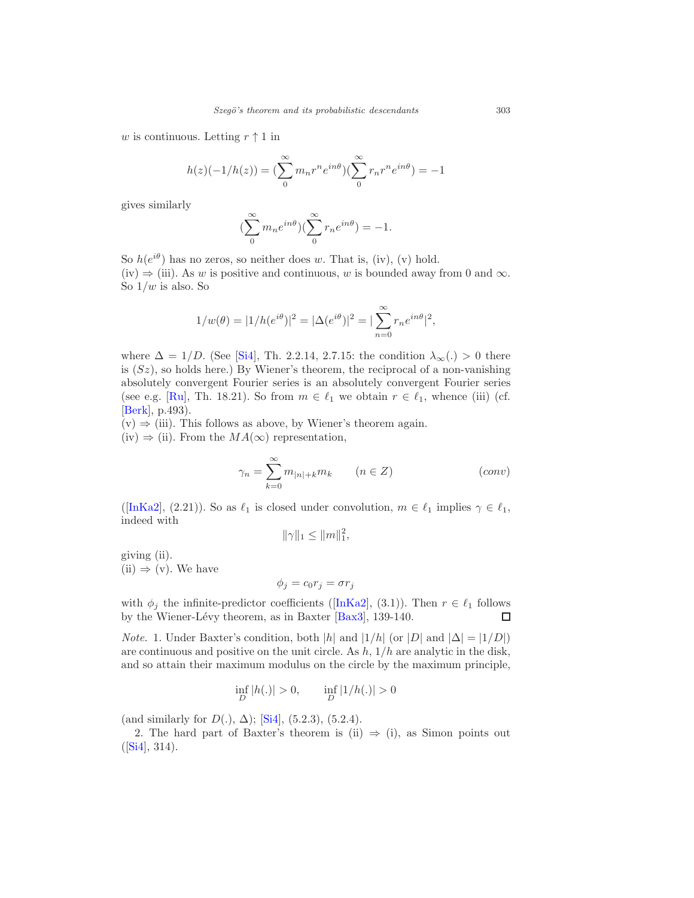w is continuous. Letting  $r \uparrow 1$  in

$$
h(z)(-1/h(z)) = \left(\sum_{n=0}^{\infty} m_n r^n e^{in\theta}\right) \left(\sum_{n=0}^{\infty} r_n r^n e^{in\theta}\right) = -1
$$

gives similarly

$$
(\sum_0^{\infty}m_ne^{in\theta})(\sum_0^{\infty}r_ne^{in\theta})=-1.
$$

So  $h(e^{i\theta})$  has no zeros, so neither does w. That is, (iv), (v) hold. (iv)  $\Rightarrow$  (iii). As w is positive and continuous, w is bounded away from 0 and  $\infty$ . So  $1/w$  is also. So

$$
1/w(\theta) = |1/h(e^{i\theta})|^2 = |\Delta(e^{i\theta})|^2 = |\sum_{n=0}^{\infty} r_n e^{in\theta}|^2,
$$

where  $\Delta = 1/D$ . (See [\[Si4\]](#page-36-3), Th. 2.2.14, 2.7.15: the condition  $\lambda_{\infty}(.) > 0$  there is  $(Sz)$ , so holds here.) By Wiener's theorem, the reciprocal of a non-vanishing absolutely convergent Fourier series is an absolutely convergent Fourier series (see e.g. [\[Ru](#page-35-10)], Th. 18.21). So from  $m \in \ell_1$  we obtain  $r \in \ell_1$ , whence (iii) (cf. [\[Berk](#page-28-7)], p.493).

 $(v) \Rightarrow (iii)$ . This follows as above, by Wiener's theorem again. (iv)  $\Rightarrow$  (ii). From the  $MA(\infty)$  representation,

$$
\gamma_n = \sum_{k=0}^{\infty} m_{|n|+k} m_k \qquad (n \in Z)
$$
 (conv)

([\[InKa2\]](#page-32-2), (2.21)). So as  $\ell_1$  is closed under convolution,  $m \in \ell_1$  implies  $\gamma \in \ell_1$ , indeed with

$$
\|\gamma\|_1 \le \|m\|_1^2,
$$

giving (ii).  $(ii) \Rightarrow (v)$ . We have

$$
\phi_j = c_0 r_j = \sigma r_j
$$

with $\phi_j$  the infinite-predictor coefficients ([\[InKa2](#page-32-2)], (3.1)). Then  $r \in \ell_1$  follows by the Wiener-Lévy theorem, as in Baxter [Bax3], 139-140. by the Wiener-Lévy theorem, as in Baxter [\[Bax3](#page-28-6)], 139-140.

*Note.* 1. Under Baxter's condition, both |h| and  $|1/h|$  (or |D| and  $|\Delta| = |1/D|$ ) are continuous and positive on the unit circle. As  $h$ ,  $1/h$  are analytic in the disk, and so attain their maximum modulus on the circle by the maximum principle,

$$
\inf_{D} |h(.)| > 0, \qquad \inf_{D} |1/h(.)| > 0
$$

(and similarly for  $D(.)$ ,  $\Delta$ ); [\[Si4\]](#page-36-3), (5.2.3), (5.2.4).

2. The hard part of Baxter's theorem is (ii)  $\Rightarrow$  (i), as Simon points out  $([Si4], 314).$  $([Si4], 314).$  $([Si4], 314).$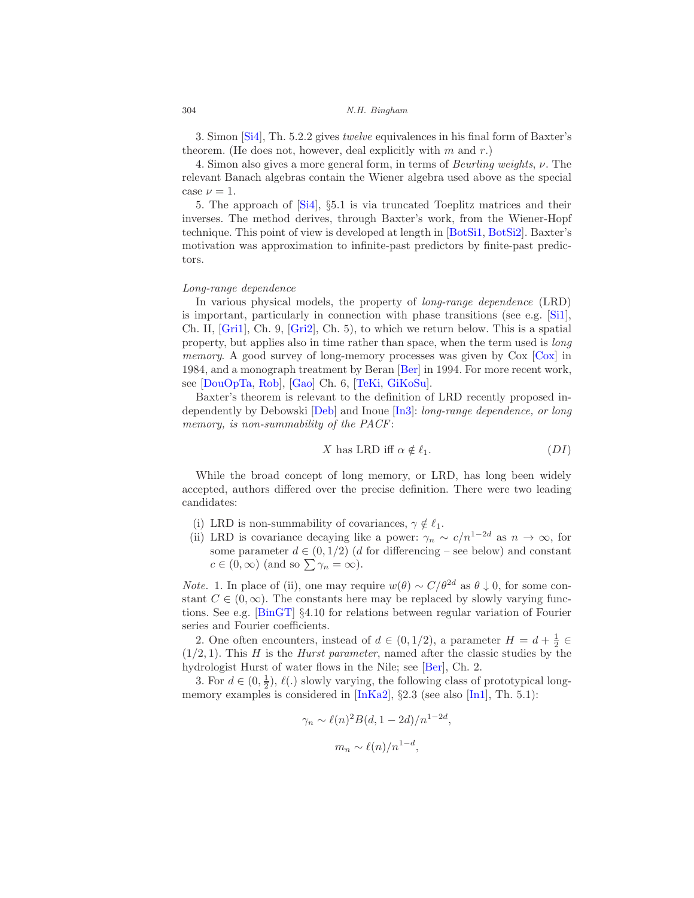3. Simon [\[Si4\]](#page-36-3), Th. 5.2.2 gives twelve equivalences in his final form of Baxter's theorem. (He does not, however, deal explicitly with  $m$  and  $r$ .)

4. Simon also gives a more general form, in terms of Beurling weights, ν. The relevant Banach algebras contain the Wiener algebra used above as the special case  $\nu = 1$ .

5. The approach of [\[Si4\]](#page-36-3), §5.1 is via truncated Toeplitz matrices and their inverses. The method derives, through Baxter's work, from the Wiener-Hopf technique. This point of view is developed at length in [\[BotSi1,](#page-29-4) [BotSi2](#page-29-3)]. Baxter's motivation was approximation to infinite-past predictors by finite-past predictors.

#### Long-range dependence

In various physical models, the property of long-range dependence (LRD) is important, particularly in connection with phase transitions (see e.g. [\[Si1\]](#page-36-14), Ch. II, [\[Gri1](#page-32-11)], Ch. 9, [\[Gri2\]](#page-32-12), Ch. 5), to which we return below. This is a spatial property, but applies also in time rather than space, when the term used is long memory. A good survey of long-memory processes was given by Cox [\[Cox](#page-30-10)] in 1984, and a monograph treatment by Beran [\[Ber\]](#page-28-8) in 1994. For more recent work, see [\[DouOpTa](#page-30-11), [Rob](#page-35-11)], [\[Gao\]](#page-31-9) Ch. 6, [\[TeKi,](#page-36-12) [GiKoSu](#page-31-10)].

Baxter's theorem is relevant to the definition of LRD recently proposed independently by Debowski [\[Deb\]](#page-30-12) and Inoue [\[In3](#page-32-1)]: long-range dependence, or long memory, is non-summability of the PACF:

$$
X \text{ has LRD iff } \alpha \notin \ell_1. \tag{DI}
$$

While the broad concept of long memory, or LRD, has long been widely accepted, authors differed over the precise definition. There were two leading candidates:

- (i) LRD is non-summability of covariances,  $\gamma \notin \ell_1$ .
- (ii) LRD is covariance decaying like a power:  $\gamma_n \sim c/n^{1-2d}$  as  $n \to \infty$ , for some parameter  $d \in (0, 1/2)$  (d for differencing – see below) and constant  $c \in (0, \infty)$  (and so  $\sum \gamma_n = \infty$ ).

*Note.* 1. In place of (ii), one may require  $w(\theta) \sim C/\theta^{2d}$  as  $\theta \downarrow 0$ , for some constant  $C \in (0, \infty)$ . The constants here may be replaced by slowly varying functions. See e.g. [\[BinGT\]](#page-28-9) §4.10 for relations between regular variation of Fourier series and Fourier coefficients.

2. One often encounters, instead of  $d \in (0, 1/2)$ , a parameter  $H = d + \frac{1}{2} \in$  $(1/2, 1)$ . This H is the Hurst parameter, named after the classic studies by the hydrologist Hurst of water flows in the Nile; see [\[Ber](#page-28-8)], Ch. 2.

3. For  $d \in (0, \frac{1}{2}), \ell(.)$  slowly varying, the following class of prototypical longmemory examples is considered in  $[\text{InKa2}]$ , §2.3 (see also  $[\text{In1}]$ , Th. 5.1):

$$
\gamma_n \sim \ell(n)^2 B(d, 1-2d)/n^{1-2d},
$$

$$
m_n \sim \ell(n)/n^{1-d},
$$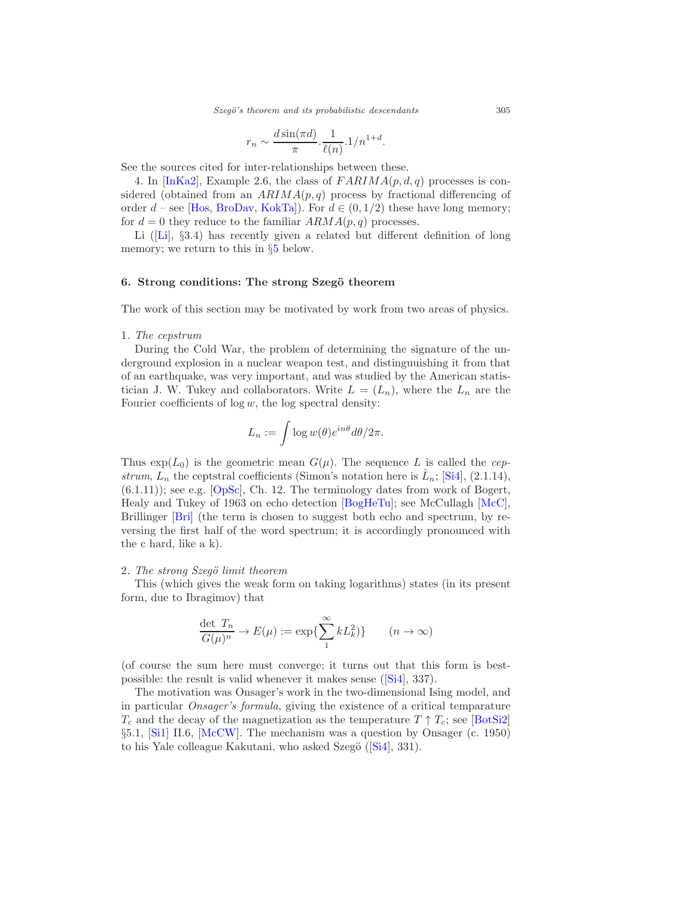*Szeg¨o's theorem and its probabilistic descendants* 305

$$
r_n \sim \frac{d \sin(\pi d)}{\pi} \cdot \frac{1}{\ell(n)} \cdot 1/n^{1+d}.
$$

See the sources cited for inter-relationships between these.

4. In [\[InKa2\]](#page-32-2), Example 2.6, the class of  $FARIMA(p, d, q)$  processes is considered (obtained from an  $ARIMA(p,q)$  process by fractional differencing of order  $d$  – see [\[Hos,](#page-32-13) [BroDav](#page-30-1), [KokTa\]](#page-33-10)). For  $d \in (0, 1/2)$  these have long memory; for  $d = 0$  they reduce to the familiar  $ARMA(p, q)$  processes.

Li([\[Li](#page-34-8)], §3.4) has recently given a related but different definition of long memory; we return to this in §[5](#page-15-0) below.

# <span id="page-18-0"></span>6. Strong conditions: The strong Szegö theorem

The work of this section may be motivated by work from two areas of physics.

# 1. The cepstrum

During the Cold War, the problem of determining the signature of the underground explosion in a nuclear weapon test, and distinguuishing it from that of an earthquake, was very important, and was studied by the American statistician J. W. Tukey and collaborators. Write  $L = (L_n)$ , where the  $L_n$  are the Fourier coefficients of  $log w$ , the  $log$  spectral density:

$$
L_n := \int \log w(\theta) e^{in\theta} d\theta / 2\pi.
$$

Thus  $\exp(L_0)$  is the geometric mean  $G(\mu)$ . The sequence L is called the cepstrum,  $\overline{L}_n$  the ceptstral coefficients (Simon's notation here is  $\hat{L}_n$ ; [\[Si4](#page-36-3)], (2.1.14),  $(6.1.11)$ ; see e.g.  $[OpSc]$ , Ch. 12. The terminology dates from work of Bogert, Healy and Tukey of 1963 on echo detection [\[BogHeTu\]](#page-29-5); see McCullagh [\[McC](#page-34-9)], Brillinger [\[Bri](#page-30-13)] (the term is chosen to suggest both echo and spectrum, by reversing the first half of the word spectrum; it is accordingly pronounced with the c hard, like a k).

#### 2. The strong Szegö limit theorem

This (which gives the weak form on taking logarithms) states (in its present form, due to Ibragimov) that

$$
\frac{\det T_n}{G(\mu)^n} \to E(\mu) := \exp\{\sum_1^{\infty} k L_k^2\} \qquad (n \to \infty)
$$

(of course the sum here must converge; it turns out that this form is bestpossible: the result is valid whenever it makes sense([\[Si4](#page-36-3)], 337).

The motivation was Onsager's work in the two-dimensional Ising model, and in particular Onsager's formula, giving the existence of a critical temparature  $T_c$  and the decay of the magnetization as the temperature  $T \uparrow T_c$ ; see [\[BotSi2\]](#page-29-3) §5.1, [\[Si1\]](#page-36-14) II.6, [\[McCW](#page-34-10)]. The mechanism was a question by Onsager (c. 1950) tohis Yale colleague Kakutani, who asked Szegö  $(Si4]$ , 331).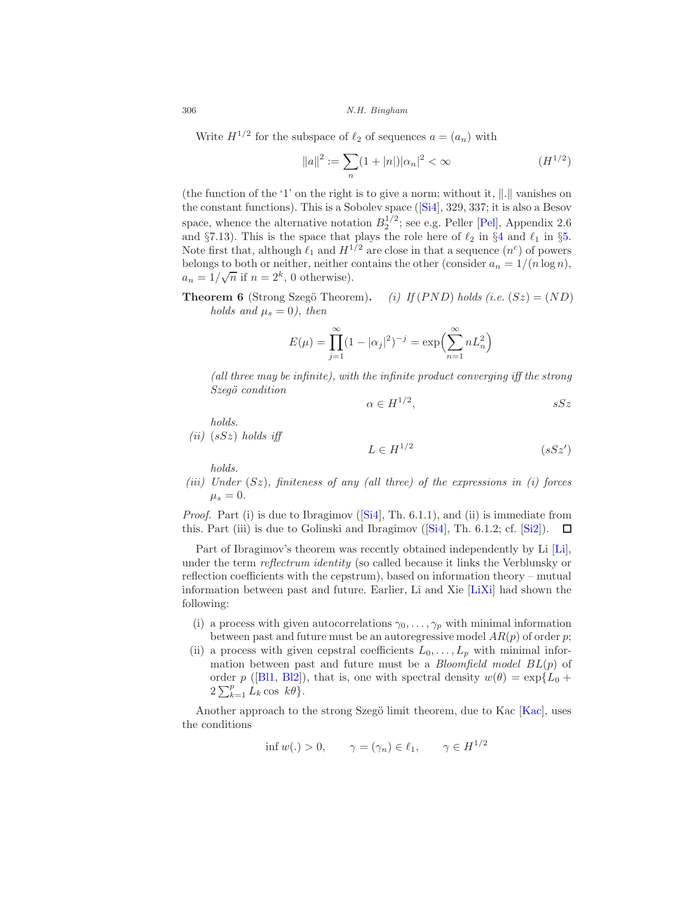Write  $H^{1/2}$  for the subspace of  $\ell_2$  of sequences  $a = (a_n)$  with

$$
||a||^2 := \sum_{n} (1+|n|)|\alpha_n|^2 < \infty \tag{H}^{1/2}
$$

(the function of the '1' on the right is to give a norm; without it,  $\Vert . \Vert$  vanishes on the constant functions). This is a Sobolev space([\[Si4\]](#page-36-3), 329, 337; it is also a Besov space, whence the alternative notation  $B_2^{1/2}$ ; see e.g. Peller [\[Pel](#page-35-12)], Appendix 2.6 and §7.13). This is the space that plays the role here of  $\ell_2$  in §[4](#page-8-0) and  $\ell_1$  in §[5.](#page-15-0) Note first that, although  $\ell_1$  and  $H^{1/2}$  are close in that a sequence  $(n^c)$  of powers belongs to both or neither, neither contains the other (consider  $a_n = 1/(n \log n)$ ,  $a_n = 1/\sqrt{n}$  if  $n = 2^k$ , 0 otherwise).

**Theorem 6** (Strong Szegö Theorem). *(i) If (PND) holds (i.e. (Sz) = (ND) holds and* 
$$
\mu_s = 0
$$
*), then*

$$
E(\mu) = \prod_{j=1}^{\infty} (1 - |\alpha_j|^2)^{-j} = \exp\left(\sum_{n=1}^{\infty} n L_n^2\right)
$$

(all three may be infinite), with the infinite product converging iff the strong Szegö condition

$$
\alpha \in H^{1/2}, \qquad \qquad ssSz
$$

holds.

$$
(ii) (sSz) holds iff
$$

$$
L \in H^{1/2} \tag{sSz'}
$$

holds.

(iii) Under  $(Sz)$ , finiteness of any (all three) of the expressions in (i) forces  $\mu_s = 0.$ 

*Proof.*Part (i) is due to Ibragimov ( $[Si4]$  $[Si4]$ , Th. 6.1.1), and (ii) is immediate from this.Part (iii) is due to Golinski and Ibragimov  $(Si4]$ , Th. 6.1.2; cf.  $(Si2]$ ).  $\Box$ 

Part of Ibragimov's theorem was recently obtained independently by Li [\[Li\]](#page-34-8), under the term *reflectrum identity* (so called because it links the Verblunsky or reflection coefficients with the cepstrum), based on information theory – mutual information between past and future. Earlier, Li and Xie [\[LiXi\]](#page-34-11) had shown the following:

- (i) a process with given autocorrelations  $\gamma_0, \ldots, \gamma_p$  with minimal information between past and future must be an autoregressive model  $AR(p)$  of order p;
- (ii) a process with given cepstral coefficients  $L_0, \ldots, L_p$  with minimal information between past and future must be a *Bloomfield model*  $BL(p)$  of order p ([\[Bl1,](#page-29-6) [Bl2\]](#page-29-7)), that is, one with spectral density  $w(\theta) = \exp\{L_0 +$  $2\sum_{k=1}^{p} L_k \cos k\theta$ .

Another approach to the strong Szegö limit theorem, due to Kac  $[Kac]$ , uses the conditions

$$
\inf w(.) > 0, \qquad \gamma = (\gamma_n) \in \ell_1, \qquad \gamma \in H^{1/2}
$$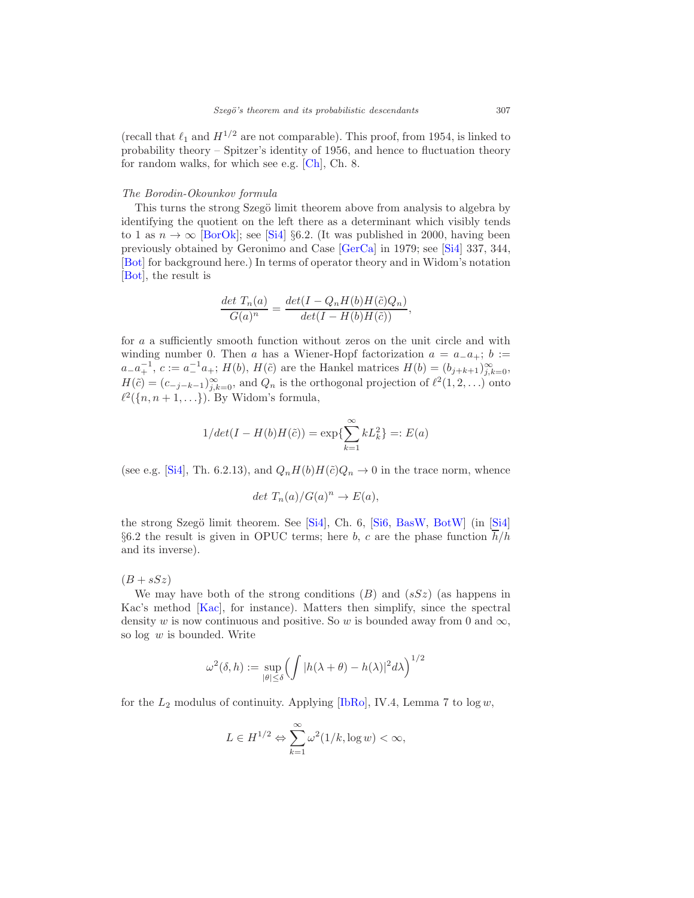(recall that  $\ell_1$  and  $H^{1/2}$  are not comparable). This proof, from 1954, is linked to probability theory – Spitzer's identity of 1956, and hence to fluctuation theory for random walks, for which see e.g. [\[Ch](#page-30-14)], Ch. 8.

#### The Borodin-Okounkov formula

This turns the strong Szegö limit theorem above from analysis to algebra by identifying the quotient on the left there as a determinant which visibly tends to 1 as  $n \to \infty$  [\[BorOk\]](#page-29-8); see [\[Si4](#page-36-3)] §6.2. (It was published in 2000, having been previously obtained by Geronimo and Case [\[GerCa\]](#page-31-11) in 1979; see [\[Si4\]](#page-36-3) 337, 344, [\[Bot\]](#page-29-9) for background here.) In terms of operator theory and in Widom's notation [\[Bot\]](#page-29-9), the result is

$$
\frac{\det T_n(a)}{G(a)^n} = \frac{\det(I - Q_n H(b)H(\tilde{c})Q_n)}{\det(I - H(b)H(\tilde{c}))},
$$

for a a sufficiently smooth function without zeros on the unit circle and with winding number 0. Then a has a Wiener-Hopf factorization  $a = a_-\overline{a_+}; b :=$  $a_{-}a_{+}^{-1}, c := a_{-}^{-1}a_{+}; H(b), H(\tilde{c})$  are the Hankel matrices  $H(b) = (b_{j+k+1})_{j,k=0}^{\infty},$  $H(\tilde{c}) = (c_{-j-k-1})^{\infty}_{j,k=0}$ , and  $Q_n$  is the orthogonal projection of  $\ell^2(1,2,\ldots)$  onto  $\ell^2({n, n+1, \ldots})$ . By Widom's formula,

$$
1/\det(I - H(b)H(\tilde{c})) = \exp\{\sum_{k=1}^{\infty} kL_k^2\} =: E(a)
$$

(see e.g. [\[Si4](#page-36-3)], Th. 6.2.13), and  $Q_nH(b)H(\tilde{c})Q_n \to 0$  in the trace norm, whence

$$
det T_n(a)/G(a)^n \to E(a),
$$

the strong Szegö limit theorem. See [\[Si4\]](#page-36-3), Ch. 6, [\[Si6,](#page-36-16) [BasW,](#page-28-10) [BotW\]](#page-29-10) (in [Si4] §6.2 the result is given in OPUC terms; here b, c are the phase function  $\overline{h}/h$ and its inverse).

 $(B + sSz)$ 

We may have both of the strong conditions  $(B)$  and  $(sSz)$  (as happens in Kac's method [\[Kac](#page-33-11)], for instance). Matters then simplify, since the spectral density w is now continuous and positive. So w is bounded away from 0 and  $\infty$ , so  $log w$  is bounded. Write

$$
\omega^{2}(\delta, h) := \sup_{|\theta| \leq \delta} \left( \int |h(\lambda + \theta) - h(\lambda)|^{2} d\lambda \right)^{1/2}
$$

for the  $L_2$  modulus of continuity. Applying [\[IbRo\]](#page-32-8), IV.4, Lemma 7 to  $\log w$ ,

$$
L\in H^{1/2}\Leftrightarrow \sum_{k=1}^\infty \omega^2(1/k,\log w)<\infty,
$$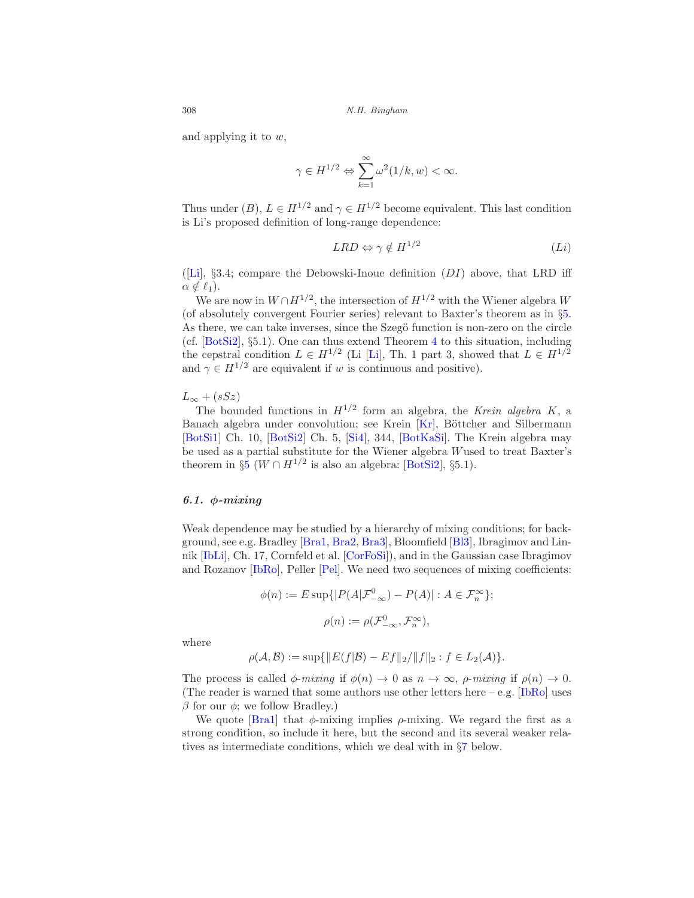and applying it to w,

$$
\gamma \in H^{1/2} \Leftrightarrow \sum_{k=1}^{\infty} \omega^2(1/k, w) < \infty.
$$

Thus under (B),  $L \in H^{1/2}$  and  $\gamma \in H^{1/2}$  become equivalent. This last condition is Li's proposed definition of long-range dependence:

$$
LRD \Leftrightarrow \gamma \notin H^{1/2} \tag{Li}
$$

([\[Li](#page-34-8)],  $\S 3.4$ ; compare the Debowski-Inoue definition (DI) above, that LRD iff  $\alpha \notin \ell_1$ ).

We are now in  $W \cap H^{1/2}$ , the intersection of  $H^{1/2}$  with the Wiener algebra W (of absolutely convergent Fourier series) relevant to Baxter's theorem as in §[5.](#page-15-0) As there, we can take inverses, since the Szegö function is non-zero on the circle (cf. [\[BotSi2](#page-29-3)], §5.1). One can thus extend Theorem [4](#page-15-1) to this situation, including the cepstral condition  $L \in H^{1/2}$  (Li [\[Li](#page-34-8)], Th. 1 part 3, showed that  $L \in H^{1/2}$ and  $\gamma \in H^{1/2}$  are equivalent if w is continuous and positive).

 $L_{\infty}$  + (sSz)

The bounded functions in  $H^{1/2}$  form an algebra, the Krein algebra K, a Banach algebra under convolution; see Krein [\[Kr\]](#page-34-12), Böttcher and Silbermann [\[BotSi1\]](#page-29-4) Ch. 10, [\[BotSi2](#page-29-3)] Ch. 5, [\[Si4](#page-36-3)], 344, [\[BotKaSi\]](#page-29-11). The Krein algebra may be used as a partial substitute for the Wiener algebra Wused to treat Baxter's theorem in §[5](#page-15-0) ( $W \cap H^{1/2}$  is also an algebra: [\[BotSi2\]](#page-29-3), §5.1).

# <span id="page-21-0"></span>6.1. φ-mixing

Weak dependence may be studied by a hierarchy of mixing conditions; for background, see e.g. Bradley [\[Bra1](#page-29-12), [Bra2](#page-29-13), [Bra3\]](#page-29-14), Bloomfield [\[Bl3](#page-29-0)], Ibragimov and Linnik [\[IbLi\]](#page-32-14), Ch. 17, Cornfeld et al. [\[CorFoSi\]](#page-30-9)), and in the Gaussian case Ibragimov and Rozanov [\[IbRo\]](#page-32-8), Peller [\[Pel\]](#page-35-12). We need two sequences of mixing coefficients:

$$
\phi(n) := E \sup \{|P(A|\mathcal{F}_{-\infty}^0) - P(A)| : A \in \mathcal{F}_n^{\infty}\};
$$
  

$$
\rho(n) := \rho(\mathcal{F}_{-\infty}^0, \mathcal{F}_n^{\infty}),
$$

where

$$
\rho(\mathcal{A}, \mathcal{B}) := \sup \{ ||E(f|\mathcal{B}) - Ef||_2 / ||f||_2 : f \in L_2(\mathcal{A}) \}.
$$

The process is called  $\phi$ -mixing if  $\phi(n) \to 0$  as  $n \to \infty$ ,  $\rho$ -mixing if  $\rho(n) \to 0$ . (The reader is warned that some authors use other letters here  $-$  e.g. [\[IbRo](#page-32-8)] uses  $β$  for our  $φ$ ; we follow Bradley.)

We quote [\[Bra1](#page-29-12)] that  $\phi$ -mixing implies  $\rho$ -mixing. We regard the first as a strong condition, so include it here, but the second and its several weaker relatives as intermediate conditions, which we deal with in §[7](#page-22-0) below.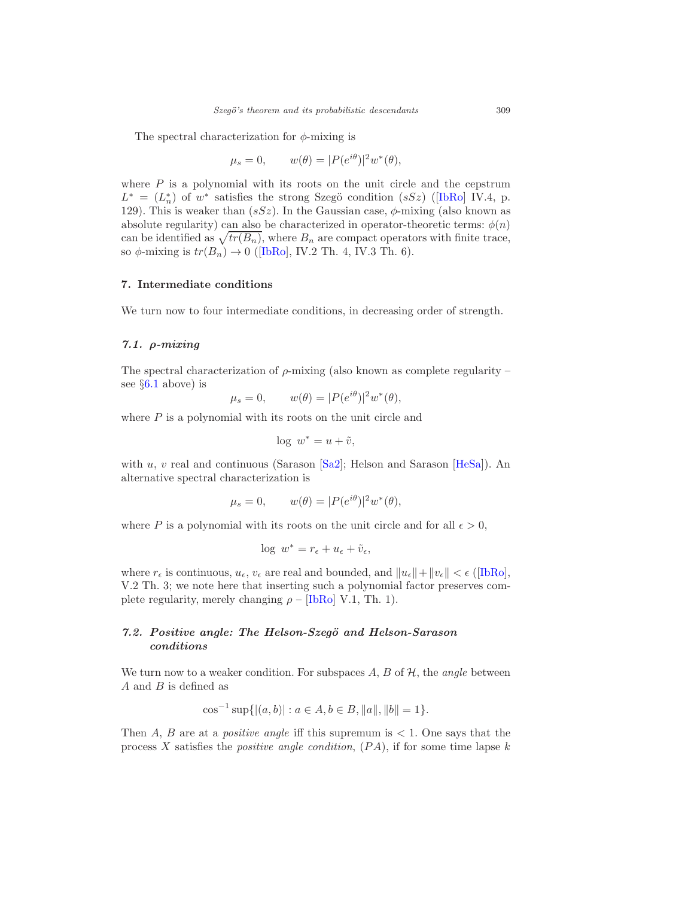The spectral characterization for  $\phi$ -mixing is

$$
\mu_s = 0, \qquad w(\theta) = |P(e^{i\theta})|^2 w^*(\theta),
$$

where  $P$  is a polynomial with its roots on the unit circle and the cepstrum  $L^* = (L_n^*)$  $L^* = (L_n^*)$  $L^* = (L_n^*)$  of  $w^*$  satisfies the strong Szegö condition  $(sSz)$  ([\[IbRo\]](#page-32-8) IV.4, p. 129). This is weaker than  $(sSz)$ . In the Gaussian case,  $\phi$ -mixing (also known as absolute regularity) can also be characterized in operator-theoretic terms:  $\phi(n)$ can be identified as  $\sqrt{tr(B_n)}$ , where  $B_n$  are compact operators with finite trace, so $\phi$ -mixing is  $tr(B_n) \to 0$  ([\[IbRo](#page-32-8)], IV.2 Th. 4, IV.3 Th. 6).

# <span id="page-22-0"></span>7. Intermediate conditions

We turn now to four intermediate conditions, in decreasing order of strength.

# <span id="page-22-1"></span>7.1.  $\rho$ -mixing

The spectral characterization of  $\rho$ -mixing (also known as complete regularity – see  $\S6.1$  $\S6.1$  above) is

$$
\mu_s = 0, \qquad w(\theta) = |P(e^{i\theta})|^2 w^*(\theta),
$$

where  $P$  is a polynomial with its roots on the unit circle and

$$
\log \, w^* = u + \tilde{v},
$$

with u, v real and continuous (Sarason  $[Sa2]$ ; Helson and Sarason  $[HeSa]$ ). An alternative spectral characterization is

$$
\mu_s = 0, \qquad w(\theta) = |P(e^{i\theta})|^2 w^*(\theta),
$$

where P is a polynomial with its roots on the unit circle and for all  $\epsilon > 0$ ,

$$
\log w^* = r_{\epsilon} + u_{\epsilon} + \tilde{v}_{\epsilon},
$$

where  $r_{\epsilon}$  is continuous,  $u_{\epsilon}$ ,  $v_{\epsilon}$  are real and bounded, and  $||u_{\epsilon}|| + ||v_{\epsilon}|| < \epsilon$  ([\[IbRo](#page-32-8)], V.2 Th. 3; we note here that inserting such a polynomial factor preserves complete regularity, merely changing  $\rho$  – [\[IbRo\]](#page-32-8) V.1, Th. 1).

# <span id="page-22-2"></span>7.2. Positive angle: The Helson-Szegö and Helson-Sarason conditions

We turn now to a weaker condition. For subspaces  $A, B$  of  $H$ , the *angle* between A and B is defined as

$$
\cos^{-1}\sup\{|(a,b)| : a \in A, b \in B, ||a||, ||b|| = 1\}.
$$

Then A, B are at a *positive angle* iff this supremum is  $\lt 1$ . One says that the process X satisfies the *positive angle condition*,  $(PA)$ , if for some time lapse k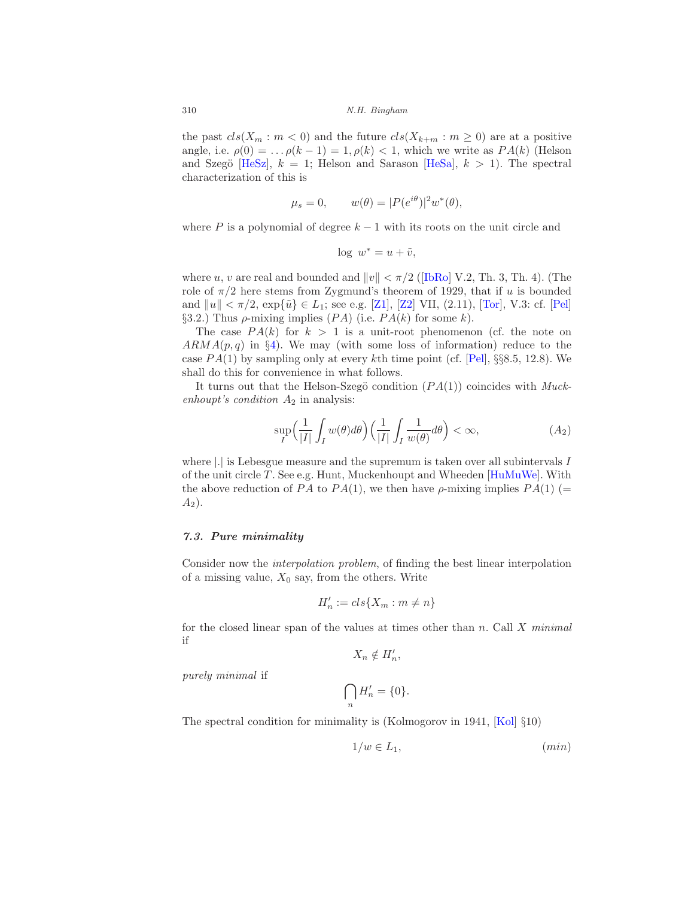the past  $cls(X_m : m < 0)$  and the future  $cls(X_{k+m} : m \ge 0)$  are at a positive angle, i.e.  $\rho(0) = \ldots \rho(k-1) = 1, \rho(k) < 1$ , which we write as  $PA(k)$  (Helson and Szegö [\[HeSz\]](#page-32-16),  $k = 1$ ; Helson and Sarason [\[HeSa\]](#page-32-15),  $k > 1$ ]. The spectral characterization of this is

$$
\mu_s = 0, \qquad w(\theta) = |P(e^{i\theta})|^2 w^*(\theta),
$$

where P is a polynomial of degree  $k-1$  with its roots on the unit circle and

$$
\log w^* = u + \tilde{v},
$$

whereu, v are real and bounded and  $||v|| < \pi/2$  ([\[IbRo\]](#page-32-8) V.2, Th. 3, Th. 4). (The role of  $\pi/2$  here stems from Zygmund's theorem of 1929, that if u is bounded and  $||u|| < \pi/2$ ,  $\exp{\{\tilde{u}\}} \in L_1$ ; see e.g. [\[Z1](#page-37-7)], [\[Z2\]](#page-37-5) VII, (2.11), [\[Tor](#page-37-8)], V.3: cf. [\[Pel\]](#page-35-12) §3.2.) Thus  $\rho$ -mixing implies  $(PA)$  (i.e.  $PA(k)$  for some k).

The case  $PA(k)$  for  $k > 1$  is a unit-root phenomenon (cf. the note on  $ARMA(p, q)$  in §[4\)](#page-8-0). We may (with some loss of information) reduce to the case  $PA(1)$  by sampling only at every kth time point (cf. [\[Pel](#page-35-12)], §§8.5, 12.8). We shall do this for convenience in what follows.

It turns out that the Helson-Szegö condition  $(PA(1))$  coincides with Muckenhoupt's condition  $A_2$  in analysis:

$$
\sup_{I} \left( \frac{1}{|I|} \int_{I} w(\theta) d\theta \right) \left( \frac{1}{|I|} \int_{I} \frac{1}{w(\theta)} d\theta \right) < \infty,\tag{A_2}
$$

where  $\left| . \right|$  is Lebesgue measure and the supremum is taken over all subintervals  $I$ of the unit circle T. See e.g. Hunt, Muckenhoupt and Wheeden  $[HuMuWe]$ . With the above reduction of PA to PA(1), we then have  $\rho$ -mixing implies PA(1) (=  $A_2$ ).

# <span id="page-23-0"></span>7.3. Pure minimality

Consider now the interpolation problem, of finding the best linear interpolation of a missing value,  $X_0$  say, from the others. Write

$$
H'_n := \operatorname{cls}\{X_m : m \neq n\}
$$

for the closed linear span of the values at times other than  $n$ . Call  $X$  minimal if

 $X_n \notin H'_n,$ 

purely minimal if

$$
\bigcap_n H'_n = \{0\}.
$$

The spectral condition for minimality is (Kolmogorov in 1941, [\[Kol\]](#page-33-0) §10)

$$
1/w \in L_1,\tag{min}
$$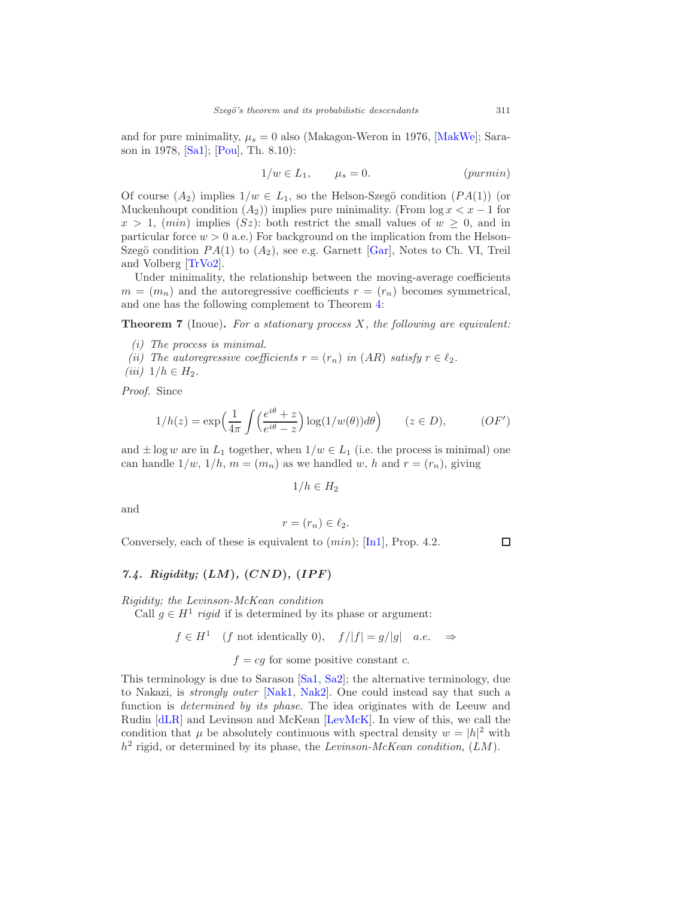and for pure minimality,  $\mu_s = 0$  also (Makagon-Weron in 1976, [\[MakWe](#page-34-13)]; Sarason in 1978, [\[Sa1\]](#page-35-15); [\[Pou](#page-35-5)], Th. 8.10):

$$
1/w \in L_1, \qquad \mu_s = 0. \tag{purmin}
$$

Of course  $(A_2)$  implies  $1/w \in L_1$ , so the Helson-Szegö condition  $(PA(1))$  (or Muckenhoupt condition  $(A_2)$ ) implies pure minimality. (From  $\log x < x - 1$  for  $x > 1$ ,  $(min)$  implies  $(Sz)$ : both restrict the small values of  $w \geq 0$ , and in particular force  $w > 0$  a.e.) For background on the implication from the Helson-Szegö condition  $PA(1)$  to  $(A_2)$ , see e.g. Garnett [\[Gar\]](#page-31-1), Notes to Ch. VI, Treil and Volberg [\[TrVo2\]](#page-37-9).

Under minimality, the relationship between the moving-average coefficients  $m = (m_n)$  and the autoregressive coefficients  $r = (r_n)$  becomes symmetrical, and one has the following complement to Theorem [4:](#page-15-1)

**Theorem 7** (Inoue). For a stationary process  $X$ , the following are equivalent:

- (i) The process is minimal.
- (ii) The autoregressive coefficients  $r = (r_n)$  in  $(AR)$  satisfy  $r \in \ell_2$ .
- (*iii*)  $1/h \in H_2$ .

Proof. Since

$$
1/h(z) = \exp\left(\frac{1}{4\pi} \int \left(\frac{e^{i\theta} + z}{e^{i\theta} - z}\right) \log(1/w(\theta)) d\theta\right) \qquad (z \in D), \qquad (OF')
$$

and  $\pm \log w$  are in  $L_1$  together, when  $1/w \in L_1$  (i.e. the process is minimal) one can handle  $1/w$ ,  $1/h$ ,  $m = (m_n)$  as we handled w, h and  $r = (r_n)$ , giving

 $1/h \in H_2$ 

and

$$
r = (r_n) \in \ell_2.
$$

Conversely, each of these is equivalent to  $(min)$ ; [\[In1\]](#page-32-4), Prop. 4.2.

# <span id="page-24-0"></span>7.4. Rigidity;  $(LM)$ ,  $(CND)$ ,  $(IPF)$

Rigidity; the Levinson-McKean condition

Call  $g \in H^1$  rigid if is determined by its phase or argument:

$$
f \in H^1
$$
 (f not identically 0),  $f/|f| = g/|g|$  a.e.  $\Rightarrow$ 

 $f = cg$  for some positive constant c.

This terminology is due to Sarason [\[Sa1,](#page-35-15) [Sa2\]](#page-35-14); the alternative terminology, due to Nakazi, is strongly outer [\[Nak1](#page-35-16), [Nak2\]](#page-35-17). One could instead say that such a function is determined by its phase. The idea originates with de Leeuw and Rudin [\[dLR\]](#page-30-15) and Levinson and McKean [\[LevMcK\]](#page-34-14). In view of this, we call the condition that  $\mu$  be absolutely continuous with spectral density  $w = |h|^2$  with  $h^2$  rigid, or determined by its phase, the Levinson-McKean condition,  $(LM)$ .

 $\Box$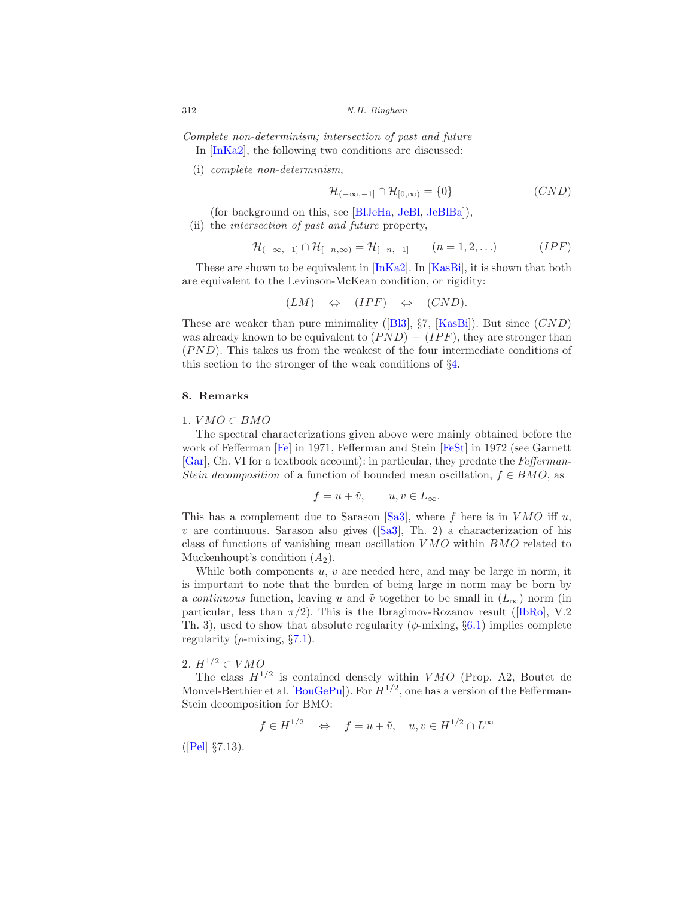Complete non-determinism; intersection of past and future In [\[InKa2\]](#page-32-2), the following two conditions are discussed:

(i) complete non-determinism,

$$
\mathcal{H}_{(-\infty,-1]} \cap \mathcal{H}_{[0,\infty)} = \{0\} \tag{CND}
$$

(for background on this, see [\[BlJeHa](#page-29-15), [JeBl,](#page-33-12) [JeBlBa](#page-33-13)]),

(ii) the intersection of past and future property,

$$
\mathcal{H}_{(-\infty,-1]} \cap \mathcal{H}_{[-n,\infty)} = \mathcal{H}_{[-n,-1]} \qquad (n=1,2,\ldots) \qquad (IPF)
$$

These are shown to be equivalent in [\[InKa2\]](#page-32-2). In [\[KasBi\]](#page-33-2), it is shown that both are equivalent to the Levinson-McKean condition, or rigidity:

$$
(LM) \Leftrightarrow (IPF) \Leftrightarrow (CND).
$$

Theseare weaker than pure minimality ([\[Bl3\]](#page-29-0),  $\S7$ , [\[KasBi](#page-33-2)]). But since  $(CND)$ was already known to be equivalent to  $(PND) + (IPF)$ , they are stronger than  $(PND)$ . This takes us from the weakest of the four intermediate conditions of this section to the stronger of the weak conditions of §[4.](#page-8-0)

# <span id="page-25-0"></span>8. Remarks

# 1.  $VMO \subset BMO$

The spectral characterizations given above were mainly obtained before the work of Fefferman [\[Fe\]](#page-31-12) in 1971, Fefferman and Stein [\[FeSt](#page-31-13)] in 1972 (see Garnett [\[Gar](#page-31-1)], Ch. VI for a textbook account): in particular, they predate the Fefferman-Stein decomposition of a function of bounded mean oscillation,  $f \in BMO$ , as

$$
f = u + \tilde{v}, \qquad u, v \in L_{\infty}.
$$

This has a complement due to Sarason [\[Sa3](#page-35-18)], where f here is in  $VMO$  iff u,  $v$ are continuous. Sarason also gives ([\[Sa3](#page-35-18)], Th. 2) a characterization of his class of functions of vanishing mean oscillation V MO within BMO related to Muckenhoupt's condition  $(A_2)$ .

While both components  $u, v$  are needed here, and may be large in norm, it is important to note that the burden of being large in norm may be born by a continuous function, leaving u and  $\tilde{v}$  together to be small in  $(L_{\infty})$  norm (in particular,less than  $\pi/2$ ). This is the Ibragimov-Rozanov result ([\[IbRo](#page-32-8)], V.2 Th. 3), used to show that absolute regularity ( $\phi$ -mixing,  $\S 6.1$ ) implies complete regularity ( $\rho$ -mixing, §[7.1\)](#page-22-1).

# 2.  $H^{1/2} \subset VMO$

The class  $H^{1/2}$  is contained densely within VMO (Prop. A2, Boutet de Monvel-Berthier et al.  $[\text{BouGePu}]$ ). For  $H^{1/2}$ , one has a version of the Fefferman-Stein decomposition for BMO:

 $f \in H^{1/2} \quad \Leftrightarrow \quad f = u + \tilde{v}, \quad u, v \in H^{1/2} \cap L^{\infty}$ 

([\[Pel\]](#page-35-12) §7.13).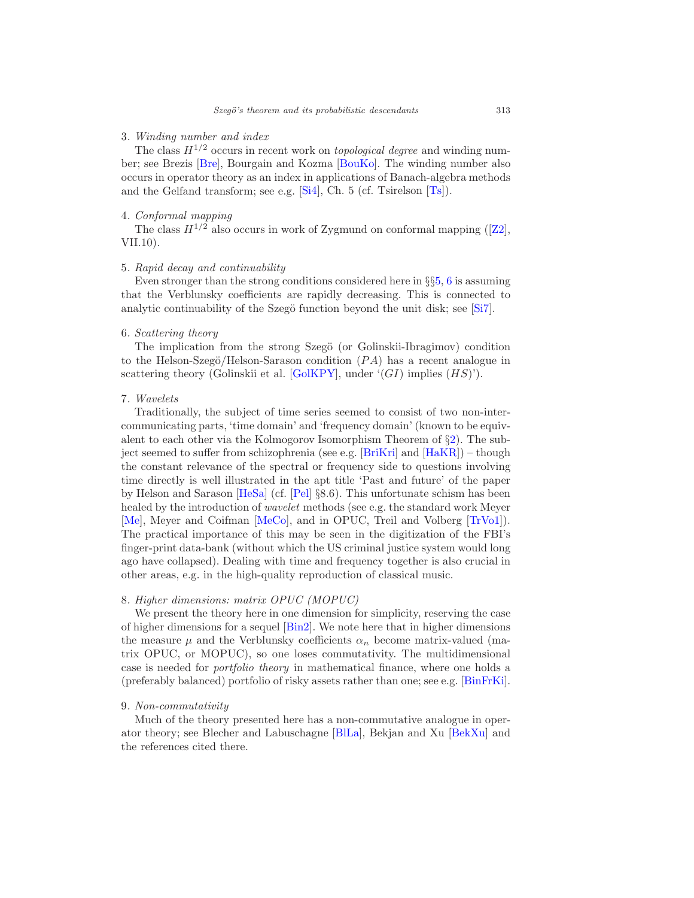# 3. Winding number and index

The class  $H^{1/2}$  occurs in recent work on *topological degree* and winding number; see Brezis [\[Bre\]](#page-30-16), Bourgain and Kozma [\[BouKo](#page-29-17)]. The winding number also occurs in operator theory as an index in applications of Banach-algebra methods and the Gelfand transform; see e.g. [\[Si4\]](#page-36-3), Ch. 5 (cf. Tsirelson [\[Ts\]](#page-37-10)).

# 4. Conformal mapping

Theclass  $H^{1/2}$  also occurs in work of Zygmund on conformal mapping ([\[Z2](#page-37-5)], VII.10).

# 5. Rapid decay and continuability

Even stronger than the strong conditions considered here in  $\S$ §[5,](#page-15-0) [6](#page-18-0) is assuming that the Verblunsky coefficients are rapidly decreasing. This is connected to analytic continuability of the Szegö function beyond the unit disk; see  $[Si7]$ .

#### 6. Scattering theory

The implication from the strong Szegö (or Golinskii-Ibragimov) condition to the Helson-Szegö/Helson-Sarason condition  $(PA)$  has a recent analogue in scattering theory (Golinskii et al. [\[GolKPY\]](#page-31-14), under  $'(GI)$  implies  $(HS)$ ').

# 7. Wavelets

Traditionally, the subject of time series seemed to consist of two non-intercommunicating parts, 'time domain' and 'frequency domain' (known to be equivalent to each other via the Kolmogorov Isomorphism Theorem of §[2\)](#page-4-0). The subject seemed to suffer from schizophrenia (see e.g. [\[BriKri\]](#page-30-17) and [\[HaKR](#page-32-18)]) – though the constant relevance of the spectral or frequency side to questions involving time directly is well illustrated in the apt title 'Past and future' of the paper by Helson and Sarason [\[HeSa](#page-32-15)] (cf. [\[Pel\]](#page-35-12) §8.6). This unfortunate schism has been healed by the introduction of wavelet methods (see e.g. the standard work Meyer [\[Me](#page-34-15)], Meyer and Coifman [\[MeCo\]](#page-34-16), and in OPUC, Treil and Volberg [\[TrVo1](#page-37-11)]). The practical importance of this may be seen in the digitization of the FBI's finger-print data-bank (without which the US criminal justice system would long ago have collapsed). Dealing with time and frequency together is also crucial in other areas, e.g. in the high-quality reproduction of classical music.

# 8. Higher dimensions: matrix OPUC (MOPUC)

We present the theory here in one dimension for simplicity, reserving the case of higher dimensions for a sequel [\[Bin2](#page-28-11)]. We note here that in higher dimensions the measure  $\mu$  and the Verblunsky coefficients  $\alpha_n$  become matrix-valued (matrix OPUC, or MOPUC), so one loses commutativity. The multidimensional case is needed for portfolio theory in mathematical finance, where one holds a (preferably balanced) portfolio of risky assets rather than one; see e.g. [\[BinFrKi](#page-28-12)].

# 9. Non-commutativity

Much of the theory presented here has a non-commutative analogue in operator theory; see Blecher and Labuschagne [\[BlLa\]](#page-28-13), Bekjan and Xu [\[BekXu](#page-28-14)] and the references cited there.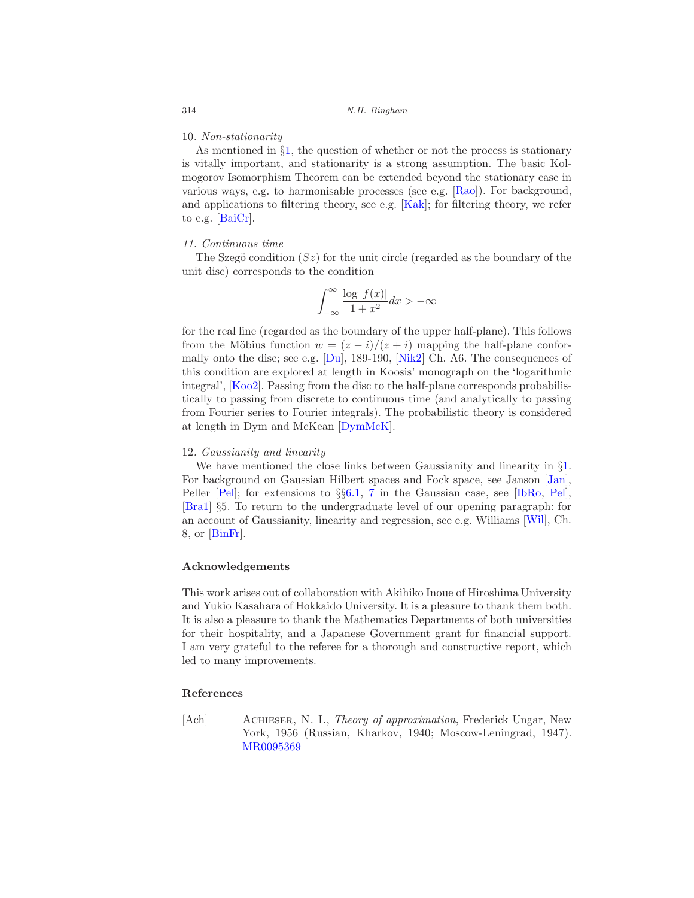#### 10. Non-stationarity

As mentioned in  $\S1$ , the question of whether or not the process is stationary is vitally important, and stationarity is a strong assumption. The basic Kolmogorov Isomorphism Theorem can be extended beyond the stationary case in various ways, e.g. to harmonisable processes (see e.g. [\[Rao\]](#page-35-19)). For background, and applications to filtering theory, see e.g. [\[Kak\]](#page-33-14); for filtering theory, we refer to e.g. [\[BaiCr\]](#page-28-15).

# 11. Continuous time

The Szegö condition  $(Sz)$  for the unit circle (regarded as the boundary of the unit disc) corresponds to the condition

$$
\int_{-\infty}^{\infty} \frac{\log|f(x)|}{1+x^2} dx > -\infty
$$

for the real line (regarded as the boundary of the upper half-plane). This follows from the Möbius function  $w = (z - i)/(z + i)$  mapping the half-plane conformally onto the disc; see e.g. [\[Du\]](#page-30-0), 189-190, [\[Nik2](#page-35-2)] Ch. A6. The consequences of this condition are explored at length in Koosis' monograph on the 'logarithmic integral', [\[Koo2\]](#page-34-0). Passing from the disc to the half-plane corresponds probabilistically to passing from discrete to continuous time (and analytically to passing from Fourier series to Fourier integrals). The probabilistic theory is considered at length in Dym and McKean [\[DymMcK\]](#page-31-2).

#### 12. Gaussianity and linearity

We have mentioned the close links between Gaussianity and linearity in  $\S1$ . For background on Gaussian Hilbert spaces and Fock space, see Janson [\[Jan\]](#page-32-3), Peller [\[Pel\]](#page-35-12); for extensions to §§[6.1,](#page-21-0) [7](#page-22-0) in the Gaussian case, see [\[IbRo,](#page-32-8) [Pel\]](#page-35-12), [\[Bra1\]](#page-29-12) §5. To return to the undergraduate level of our opening paragraph: for an account of Gaussianity, linearity and regression, see e.g. Williams [\[Wil](#page-37-12)], Ch. 8, or [\[BinFr\]](#page-28-16).

# <span id="page-27-0"></span>Acknowledgements

This work arises out of collaboration with Akihiko Inoue of Hiroshima University and Yukio Kasahara of Hokkaido University. It is a pleasure to thank them both. It is also a pleasure to thank the Mathematics Departments of both universities for their hospitality, and a Japanese Government grant for financial support. I am very grateful to the referee for a thorough and constructive report, which led to many improvements.

#### <span id="page-27-1"></span>References

<span id="page-27-2"></span>[Ach] Achieser, N. I., Theory of approximation, Frederick Ungar, New York, 1956 (Russian, Kharkov, 1940; Moscow-Leningrad, 1947). [MR0095369](http://www.ams.org/mathscinet-getitem?mr=0095369)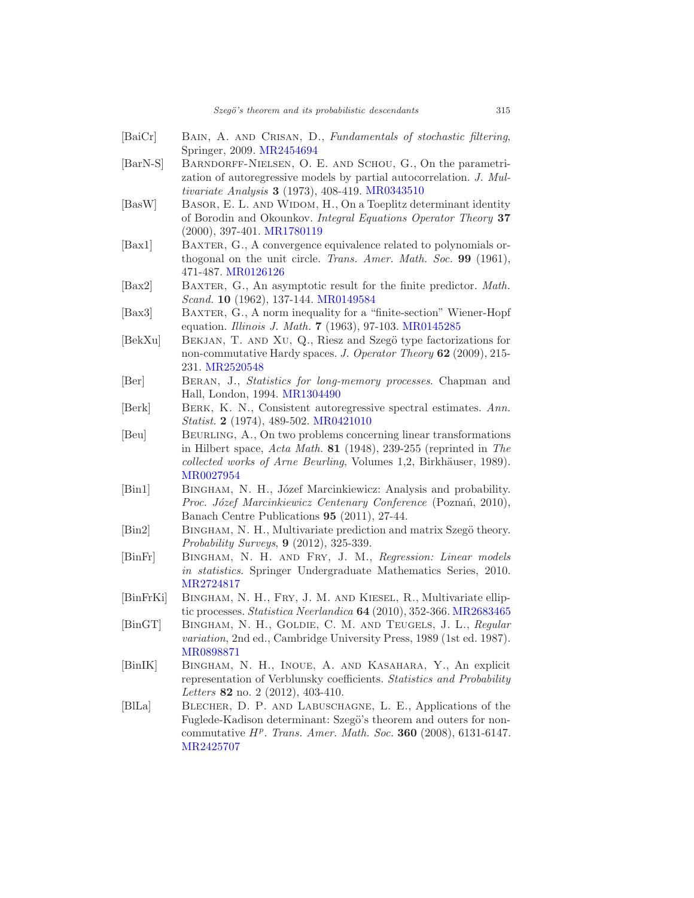<span id="page-28-16"></span><span id="page-28-15"></span><span id="page-28-14"></span><span id="page-28-13"></span><span id="page-28-12"></span><span id="page-28-11"></span><span id="page-28-10"></span><span id="page-28-9"></span><span id="page-28-8"></span><span id="page-28-7"></span><span id="page-28-6"></span><span id="page-28-5"></span><span id="page-28-4"></span><span id="page-28-3"></span><span id="page-28-2"></span><span id="page-28-1"></span><span id="page-28-0"></span>[BaiCr] BAIN, A. AND CRISAN, D., Fundamentals of stochastic filtering, Springer, 2009. [MR2454694](http://www.ams.org/mathscinet-getitem?mr=2454694) [BarN-S] Barndorff-Nielsen, O. E. and Schou, G., On the parametrization of autoregressive models by partial autocorrelation. J. Multivariate Analysis 3 (1973), 408-419. [MR0343510](http://www.ams.org/mathscinet-getitem?mr=0343510) [BasW] BASOR, E. L. AND WIDOM, H., On a Toeplitz determinant identity of Borodin and Okounkov. Integral Equations Operator Theory 37 (2000), 397-401. [MR1780119](http://www.ams.org/mathscinet-getitem?mr=1780119) [Bax1] BAXTER, G., A convergence equivalence related to polynomials orthogonal on the unit circle. Trans. Amer. Math. Soc. 99 (1961), 471-487. [MR0126126](http://www.ams.org/mathscinet-getitem?mr=0126126) [Bax2] BAXTER, G., An asymptotic result for the finite predictor. *Math.* Scand. 10 (1962), 137-144. [MR0149584](http://www.ams.org/mathscinet-getitem?mr=0149584) [Bax3] BAXTER, G., A norm inequality for a "finite-section" Wiener-Hopf equation. Illinois J. Math. 7 (1963), 97-103. [MR0145285](http://www.ams.org/mathscinet-getitem?mr=0145285) [BekXu] BEKJAN, T. AND XU, Q., Riesz and Szegö type factorizations for non-commutative Hardy spaces. J. Operator Theory 62 (2009), 215-231. [MR2520548](http://www.ams.org/mathscinet-getitem?mr=2520548) [Ber] Beran, J., Statistics for long-memory processes. Chapman and Hall, London, 1994. [MR1304490](http://www.ams.org/mathscinet-getitem?mr=1304490) [Berk] BERK, K. N., Consistent autoregressive spectral estimates. Ann. Statist. 2 (1974), 489-502. [MR0421010](http://www.ams.org/mathscinet-getitem?mr=0421010) [Beu] Beurling, A., On two problems concerning linear transformations in Hilbert space, Acta Math. 81 (1948), 239-255 (reprinted in The  $collected \ works \ of \ Arne \ Beurling, \ Volumes 1, 2, Birkhäuser, 1989).$ [MR0027954](http://www.ams.org/mathscinet-getitem?mr=0027954) [Bin1] BINGHAM, N. H., Józef Marcinkiewicz: Analysis and probability. Proc. Józef Marcinkiewicz Centenary Conference (Poznań, 2010), Banach Centre Publications 95 (2011), 27-44. [Bin2] BINGHAM, N. H., Multivariate prediction and matrix Szegö theory. Probability Surveys, 9 (2012), 325-339. [BinFr] Bingham, N. H. and Fry, J. M., Regression: Linear models in statistics. Springer Undergraduate Mathematics Series, 2010. [MR2724817](http://www.ams.org/mathscinet-getitem?mr=2724817) [BinFrKi] Bingham, N. H., Fry, J. M. and Kiesel, R., Multivariate ellip-tic processes. Statistica Neerlandica 64 (2010), 352-366. [MR2683465](http://www.ams.org/mathscinet-getitem?mr=2683465) [BinGT] Bingham, N. H., Goldie, C. M. and Teugels, J. L., Regular variation, 2nd ed., Cambridge University Press, 1989 (1st ed. 1987). [MR0898871](http://www.ams.org/mathscinet-getitem?mr=0898871) [BinIK] Bingham, N. H., Inoue, A. and Kasahara, Y., An explicit representation of Verblunsky coefficients. Statistics and Probability Letters 82 no. 2 (2012), 403-410. [BlLa] Blecher, D. P. and Labuschagne, L. E., Applications of the Fuglede-Kadison determinant: Szegö's theorem and outers for noncommutative  $H^p$ . Trans. Amer. Math. Soc. 360 (2008), 6131-6147. [MR2425707](http://www.ams.org/mathscinet-getitem?mr=2425707)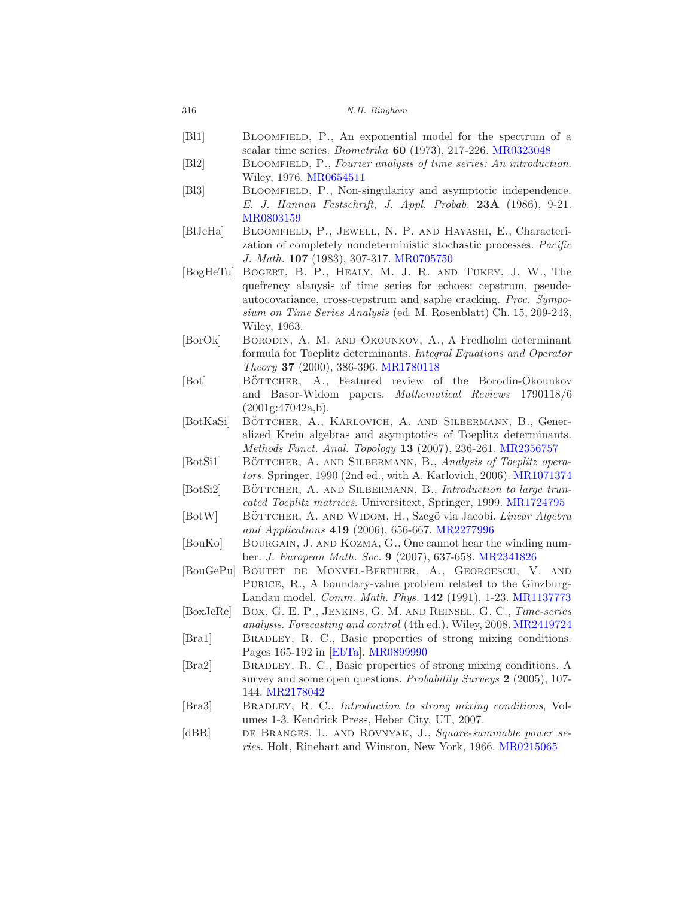| 316 |  | N.H. Bingham |
|-----|--|--------------|
|-----|--|--------------|

- <span id="page-29-15"></span><span id="page-29-9"></span><span id="page-29-8"></span><span id="page-29-7"></span><span id="page-29-6"></span><span id="page-29-5"></span><span id="page-29-0"></span>[Bl1] BLOOMFIELD, P., An exponential model for the spectrum of a scalar time series. Biometrika 60 (1973), 217-226. [MR0323048](http://www.ams.org/mathscinet-getitem?mr=0323048) [Bl2] BLOOMFIELD, P., Fourier analysis of time series: An introduction. Wiley, 1976. [MR0654511](http://www.ams.org/mathscinet-getitem?mr=0654511) [Bl3] Bloomfield, P., Non-singularity and asymptotic independence. E. J. Hannan Festschrift, J. Appl. Probab. 23A (1986), 9-21. [MR0803159](http://www.ams.org/mathscinet-getitem?mr=0803159) [BlJeHa] Bloomfield, P., Jewell, N. P. and Hayashi, E., Characterization of completely nondeterministic stochastic processes. Pacific J. Math. 107 (1983), 307-317. [MR0705750](http://www.ams.org/mathscinet-getitem?mr=0705750) [BogHeTu] Bogert, B. P., Healy, M. J. R. and Tukey, J. W., The quefrency alanysis of time series for echoes: cepstrum, pseudoautocovariance, cross-cepstrum and saphe cracking. Proc. Symposium on Time Series Analysis (ed. M. Rosenblatt) Ch. 15, 209-243, Wiley, 1963. [BorOk] Borodin, A. M. and Okounkov, A., A Fredholm determinant formula for Toeplitz determinants. Integral Equations and Operator Theory 37 (2000), 386-396. [MR1780118](http://www.ams.org/mathscinet-getitem?mr=1780118) [Bot] BÖTTCHER, A., Featured review of the Borodin-Okounkov and Basor-Widom papers. Mathematical Reviews 1790118/6 (2001g:47042a,b). [BotKaSi] BÖTTCHER, A., KARLOVICH, A. AND SILBERMANN, B., Generalized Krein algebras and asymptotics of Toeplitz determinants. Methods Funct. Anal. Topology 13 (2007), 236-261. [MR2356757](http://www.ams.org/mathscinet-getitem?mr=2356757) [BotSi1] BÖTTCHER, A. AND SILBERMANN, B., Analysis of Toeplitz operators. Springer, 1990 (2nd ed., with A. Karlovich, 2006). [MR1071374](http://www.ams.org/mathscinet-getitem?mr=1071374) [BotSi2] BÖTTCHER, A. AND SILBERMANN, B., *Introduction to large trun*cated Toeplitz matrices. Universitext, Springer, 1999. [MR1724795](http://www.ams.org/mathscinet-getitem?mr=1724795) [BotW] BÖTTCHER, A. AND WIDOM, H., Szegö via Jacobi. Linear Algebra and Applications 419 (2006), 656-667. [MR2277996](http://www.ams.org/mathscinet-getitem?mr=2277996) [BouKo] BOURGAIN, J. AND KOZMA, G., One cannot hear the winding number. J. European Math. Soc. 9 (2007), 637-658. [MR2341826](http://www.ams.org/mathscinet-getitem?mr=2341826) [BouGePu] Boutet de Monvel-Berthier, A., Georgescu, V. and PURICE, R., A boundary-value problem related to the Ginzburg-Landau model. Comm. Math. Phys. 142 (1991), 1-23. [MR1137773](http://www.ams.org/mathscinet-getitem?mr=1137773) [BoxJeRe] Box, G. E. P., Jenkins, G. M. and Reinsel, G. C., Time-series analysis. Forecasting and control (4th ed.). Wiley, 2008. [MR2419724](http://www.ams.org/mathscinet-getitem?mr=2419724) [Bra1] Bradley, R. C., Basic properties of strong mixing conditions. Pages 165-192 in [\[EbTa\]](#page-31-15). [MR0899990](http://www.ams.org/mathscinet-getitem?mr=0899990) [Bra2] Bradley, R. C., Basic properties of strong mixing conditions. A
- <span id="page-29-17"></span><span id="page-29-16"></span><span id="page-29-13"></span><span id="page-29-12"></span><span id="page-29-11"></span><span id="page-29-10"></span><span id="page-29-4"></span><span id="page-29-3"></span><span id="page-29-1"></span>survey and some open questions. Probability Surveys 2 (2005), 107-144. [MR2178042](http://www.ams.org/mathscinet-getitem?mr=2178042)
- <span id="page-29-14"></span>[Bra3] Bradley, R. C., Introduction to strong mixing conditions, Volumes 1-3. Kendrick Press, Heber City, UT, 2007.
- <span id="page-29-2"></span>[dBR] de BRANGES, L. AND ROVNYAK, J., Square-summable power series. Holt, Rinehart and Winston, New York, 1966. [MR0215065](http://www.ams.org/mathscinet-getitem?mr=0215065)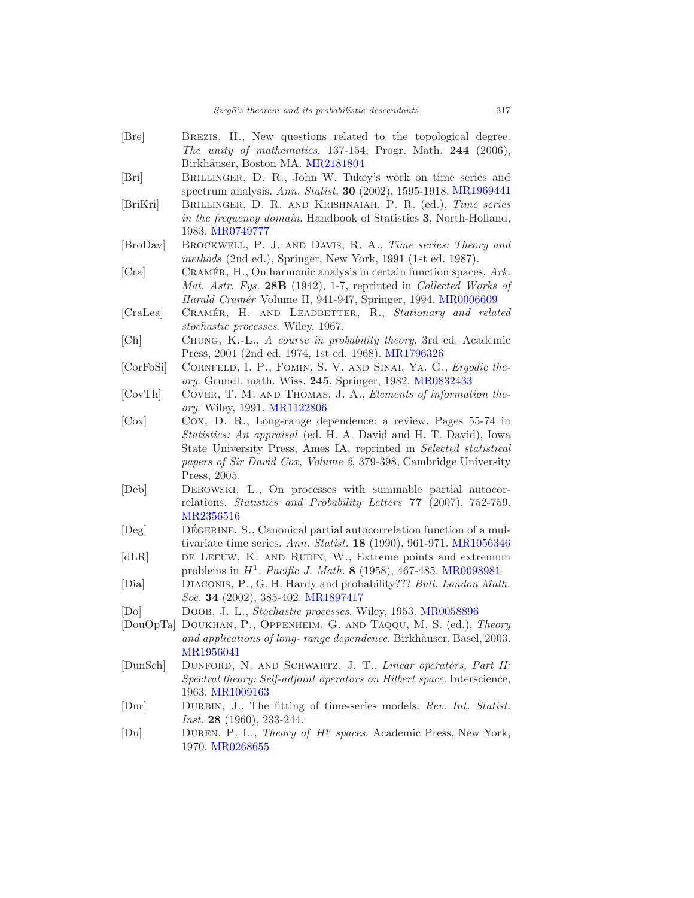<span id="page-30-17"></span><span id="page-30-16"></span><span id="page-30-14"></span><span id="page-30-13"></span><span id="page-30-10"></span><span id="page-30-9"></span><span id="page-30-4"></span><span id="page-30-2"></span><span id="page-30-1"></span>

| [Bre]             | BREZIS, H., New questions related to the topological degree.<br>The unity of mathematics. $137-154$ , Progr. Math. $244$ (2006), |
|-------------------|----------------------------------------------------------------------------------------------------------------------------------|
|                   | Birkhäuser, Boston MA. MR2181804                                                                                                 |
| [Bri]             | BRILLINGER, D. R., John W. Tukey's work on time series and                                                                       |
|                   | spectrum analysis. Ann. Statist. 30 (2002), 1595-1918. MR1969441                                                                 |
| [BriKri]          | BRILLINGER, D. R. AND KRISHNAIAH, P. R. (ed.), Time series                                                                       |
|                   | in the frequency domain. Handbook of Statistics 3, North-Holland,                                                                |
|                   | 1983. MR0749777                                                                                                                  |
| [BroDav]          | BROCKWELL, P. J. AND DAVIS, R. A., Time series: Theory and                                                                       |
|                   | methods (2nd ed.), Springer, New York, 1991 (1st ed. 1987).                                                                      |
| [Cra]             | CRAMÉR, H., On harmonic analysis in certain function spaces. $Ark$ .                                                             |
|                   | Mat. Astr. Fys. 28B (1942), 1-7, reprinted in Collected Works of                                                                 |
|                   | Harald Cramér Volume II, 941-947, Springer, 1994. MR0006609                                                                      |
| [CraLea]          | CRAMÉR, H. AND LEADBETTER, R., Stationary and related                                                                            |
|                   | stochastic processes. Wiley, 1967.                                                                                               |
| [Ch]              | CHUNG, K.-L., A course in probability theory, 3rd ed. Academic                                                                   |
|                   | Press, 2001 (2nd ed. 1974, 1st ed. 1968). MR1796326                                                                              |
| [CorFoSi]         | CORNFELD, I. P., FOMIN, S. V. AND SINAI, YA. G., Ergodic the-                                                                    |
|                   | ory. Grundl. math. Wiss. 245, Springer, 1982. MR0832433                                                                          |
| [CorTh]           | COVER, T. M. AND THOMAS, J. A., Elements of information the-                                                                     |
|                   | ory. Wiley, 1991. MR1122806                                                                                                      |
| [ <b>Cox</b> ]    | Cox, D. R., Long-range dependence: a review. Pages 55-74 in                                                                      |
|                   | <i>Statistics: An appraisal</i> (ed. H. A. David and H. T. David), Iowa                                                          |
|                   | State University Press, Ames IA, reprinted in Selected statistical                                                               |
|                   | papers of Sir David Cox, Volume 2, 379-398, Cambridge University                                                                 |
|                   | Press, 2005.                                                                                                                     |
| [Deb]             | DEBOWSKI, L., On processes with summable partial autocor-                                                                        |
|                   | relations. Statistics and Probability Letters 77 (2007), 752-759.                                                                |
|                   | MR2356516                                                                                                                        |
| [Deg]             | DÉGERINE, S., Canonical partial autocorrelation function of a mul-                                                               |
|                   | tivariate time series. Ann. Statist. $18$ (1990), 961-971. MR1056346                                                             |
| [dLR]             | DE LEEUW, K. AND RUDIN, W., Extreme points and extremum                                                                          |
|                   | problems in $H^1$ . Pacific J. Math. 8 (1958), 467-485. MR0098981                                                                |
| [Dia]             | DIACONIS, P., G. H. Hardy and probability??? Bull. London Math.                                                                  |
|                   | <i>Soc.</i> <b>34</b> (2002), 385-402. MR1897417                                                                                 |
| [D <sub>o</sub> ] | DOOB, J. L., Stochastic processes. Wiley, 1953. MR0058896                                                                        |
| [DouOpTa]         | DOUKHAN, P., OPPENHEIM, G. AND TAQQU, M. S. (ed.), Theory                                                                        |
|                   | and applications of long- range dependence. Birkhäuser, Basel, 2003.                                                             |
|                   | MR1956041                                                                                                                        |
| [DunSch]          | DUNFORD, N. AND SCHWARTZ, J. T., Linear operators, Part II:                                                                      |
|                   | Spectral theory: Self-adjoint operators on Hilbert space. Interscience,<br>1963. MR1009163                                       |
|                   | DURBIN, J., The fitting of time-series models. Rev. Int. Statist.                                                                |
| Dur               |                                                                                                                                  |
|                   | <i>Inst.</i> <b>28</b> (1960), 233-244.                                                                                          |

<span id="page-30-15"></span><span id="page-30-12"></span><span id="page-30-11"></span><span id="page-30-8"></span><span id="page-30-7"></span><span id="page-30-6"></span><span id="page-30-5"></span><span id="page-30-3"></span><span id="page-30-0"></span>[Du] DUREN, P. L., Theory of  $H^p$  spaces. Academic Press, New York, 1970. [MR0268655](http://www.ams.org/mathscinet-getitem?mr=0268655)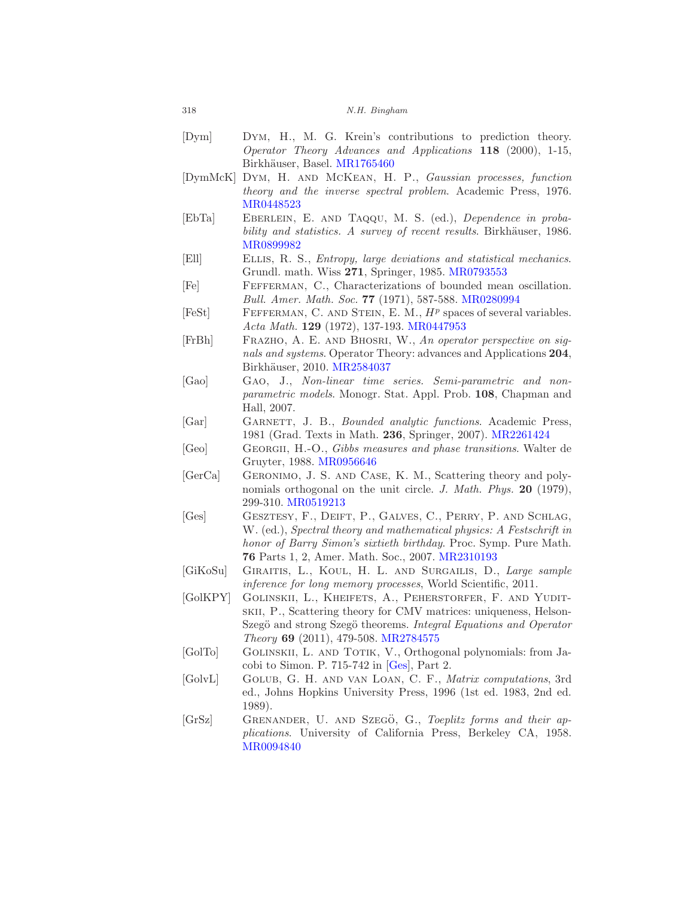- <span id="page-31-3"></span>[Dym] Dym, H., M. G. Krein's contributions to prediction theory. Operator Theory Advances and Applications 118 (2000), 1-15, Birkhäuser, Basel. [MR1765460](http://www.ams.org/mathscinet-getitem?mr=1765460)
- <span id="page-31-2"></span>[DymMcK] Dym, H. and McKean, H. P., Gaussian processes, function theory and the inverse spectral problem. Academic Press, 1976. [MR0448523](http://www.ams.org/mathscinet-getitem?mr=0448523)
- <span id="page-31-15"></span>[EbTa] EBERLEIN, E. AND TAQQU, M. S. (ed.), Dependence in probability and statistics. A survey of recent results. Birkhäuser, 1986. [MR0899982](http://www.ams.org/mathscinet-getitem?mr=0899982)
- <span id="page-31-8"></span>[Ell] Ellis, R. S., Entropy, large deviations and statistical mechanics. Grundl. math. Wiss 271, Springer, 1985. [MR0793553](http://www.ams.org/mathscinet-getitem?mr=0793553)
- <span id="page-31-12"></span>[Fe] Fefferman, C., Characterizations of bounded mean oscillation. Bull. Amer. Math. Soc. 77 (1971), 587-588. [MR0280994](http://www.ams.org/mathscinet-getitem?mr=0280994)
- <span id="page-31-13"></span>[FeSt] FEFFERMAN, C. AND STEIN, E. M.,  $H<sup>p</sup>$  spaces of several variables. Acta Math. 129 (1972), 137-193. [MR0447953](http://www.ams.org/mathscinet-getitem?mr=0447953)
- <span id="page-31-6"></span>[FrBh] Frazho, A. E. and Bhosri, W., An operator perspective on signals and systems. Operator Theory: advances and Applications 204, Birkhäuser, 2010. [MR2584037](http://www.ams.org/mathscinet-getitem?mr=2584037)
- <span id="page-31-9"></span>[Gao] Gao, J., Non-linear time series. Semi-parametric and nonparametric models. Monogr. Stat. Appl. Prob. 108, Chapman and Hall, 2007.
- <span id="page-31-1"></span>[Gar] GARNETT, J. B., *Bounded analytic functions*. Academic Press, 1981 (Grad. Texts in Math. 236, Springer, 2007). [MR2261424](http://www.ams.org/mathscinet-getitem?mr=2261424)
- <span id="page-31-7"></span>[Geo] GEORGII, H.-O., Gibbs measures and phase transitions. Walter de Gruyter, 1988. [MR0956646](http://www.ams.org/mathscinet-getitem?mr=0956646)
- <span id="page-31-11"></span>[GerCa] Geronimo, J. S. and Case, K. M., Scattering theory and polynomials orthogonal on the unit circle. J. Math. Phys. 20 (1979), 299-310. [MR0519213](http://www.ams.org/mathscinet-getitem?mr=0519213)
- <span id="page-31-16"></span>[Ges] GESZTESY, F., DEIFT, P., GALVES, C., PERRY, P. AND SCHLAG, W. (ed.), Spectral theory and mathematical physics: A Festschrift in honor of Barry Simon's sixtieth birthday. Proc. Symp. Pure Math. 76 Parts 1, 2, Amer. Math. Soc., 2007. [MR2310193](http://www.ams.org/mathscinet-getitem?mr=2310193)
- <span id="page-31-10"></span>[GiKoSu] GIRAITIS, L., KOUL, H. L. AND SURGAILIS, D., Large sample inference for long memory processes, World Scientific, 2011.
- <span id="page-31-14"></span>[GolKPY] GOLINSKII, L., KHEIFETS, A., PEHERSTORFER, F. AND YUDITskii, P., Scattering theory for CMV matrices: uniqueness, Helson-Szegö and strong Szegö theorems. Integral Equations and Operator Theory 69 (2011), 479-508. [MR2784575](http://www.ams.org/mathscinet-getitem?mr=2784575)
- <span id="page-31-0"></span>[GolTo] Golinskii, L. and Totik, V., Orthogonal polynomials: from Jacobi to Simon. P. 715-742 in  $[Ges]$ , Part 2.
- <span id="page-31-5"></span>[GolvL] Golub, G. H. and van Loan, C. F., Matrix computations, 3rd ed., Johns Hopkins University Press, 1996 (1st ed. 1983, 2nd ed. 1989).
- <span id="page-31-4"></span>[GrSz] GRENANDER, U. AND SZEGÖ, G., Toeplitz forms and their applications. University of California Press, Berkeley CA, 1958. [MR0094840](http://www.ams.org/mathscinet-getitem?mr=0094840)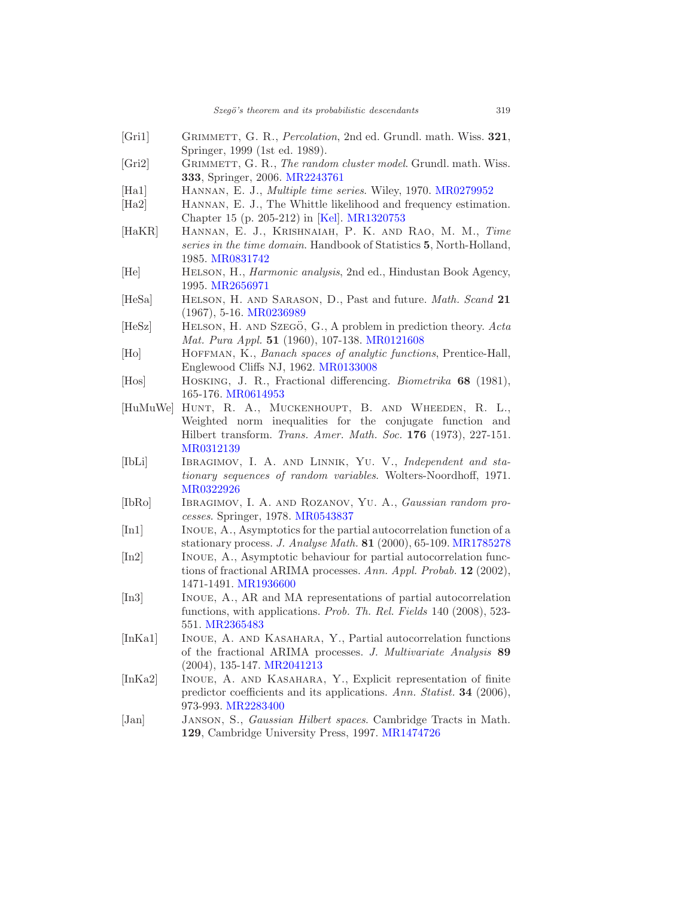- <span id="page-32-11"></span>[Gri1] GRIMMETT, G. R., *Percolation*, 2nd ed. Grundl. math. Wiss. 321, Springer, 1999 (1st ed. 1989).
- <span id="page-32-12"></span>[Gri2] GRIMMETT, G. R., The random cluster model. Grundl. math. Wiss. 333, Springer, 2006. [MR2243761](http://www.ams.org/mathscinet-getitem?mr=2243761)
- <span id="page-32-7"></span>[Ha1] Hannan, E. J., Multiple time series. Wiley, 1970. [MR0279952](http://www.ams.org/mathscinet-getitem?mr=0279952)
- <span id="page-32-10"></span>[Ha2] HANNAN, E. J., The Whittle likelihood and frequency estimation. Chapter 15 (p. 205-212) in [\[Kel](#page-33-15)]. [MR1320753](http://www.ams.org/mathscinet-getitem?mr=1320753)
- <span id="page-32-18"></span>[HaKR] Hannan, E. J., Krishnaiah, P. K. and Rao, M. M., Time series in the time domain. Handbook of Statistics 5, North-Holland, 1985. [MR0831742](http://www.ams.org/mathscinet-getitem?mr=0831742)
- <span id="page-32-9"></span>[He] Helson, H., Harmonic analysis, 2nd ed., Hindustan Book Agency, 1995. [MR2656971](http://www.ams.org/mathscinet-getitem?mr=2656971)
- <span id="page-32-15"></span>[HeSa] HELSON, H. AND SARASON, D., Past and future. *Math. Scand* 21 (1967), 5-16. [MR0236989](http://www.ams.org/mathscinet-getitem?mr=0236989)
- <span id="page-32-16"></span> $[HeSz]$  HELSON, H. AND SZEGÖ, G., A problem in prediction theory. Acta Mat. Pura Appl. 51 (1960), 107-138. [MR0121608](http://www.ams.org/mathscinet-getitem?mr=0121608)
- <span id="page-32-0"></span>[Ho] HOFFMAN, K., Banach spaces of analytic functions, Prentice-Hall, Englewood Cliffs NJ, 1962. [MR0133008](http://www.ams.org/mathscinet-getitem?mr=0133008)
- <span id="page-32-13"></span>[Hos] Hosking, J. R., Fractional differencing. Biometrika 68 (1981), 165-176. [MR0614953](http://www.ams.org/mathscinet-getitem?mr=0614953)
- <span id="page-32-17"></span>[HuMuWe] Hunt, R. A., Muckenhoupt, B. and Wheeden, R. L., Weighted norm inequalities for the conjugate function and Hilbert transform. Trans. Amer. Math. Soc. 176 (1973), 227-151. [MR0312139](http://www.ams.org/mathscinet-getitem?mr=0312139)
- <span id="page-32-14"></span>[IbLi] IBRAGIMOV, I. A. AND LINNIK, YU. V., Independent and stationary sequences of random variables. Wolters-Noordhoff, 1971. [MR0322926](http://www.ams.org/mathscinet-getitem?mr=0322926)
- <span id="page-32-8"></span>[IbRo] Ibragimov, I. A. and Rozanov, Yu. A., Gaussian random processes. Springer, 1978. [MR0543837](http://www.ams.org/mathscinet-getitem?mr=0543837)
- <span id="page-32-4"></span>[In1] Inoue, A., Asymptotics for the partial autocorrelation function of a stationary process. J. Analyse Math. 81 (2000), 65-109. [MR1785278](http://www.ams.org/mathscinet-getitem?mr=1785278)
- <span id="page-32-5"></span>[In2] Inoue, A., Asymptotic behaviour for partial autocorrelation functions of fractional ARIMA processes. Ann. Appl. Probab. 12 (2002), 1471-1491. [MR1936600](http://www.ams.org/mathscinet-getitem?mr=1936600)
- <span id="page-32-1"></span>[In3] Inoue, A., AR and MA representations of partial autocorrelation functions, with applications. Prob. Th. Rel. Fields 140 (2008), 523- 551. [MR2365483](http://www.ams.org/mathscinet-getitem?mr=2365483)
- <span id="page-32-6"></span>[InKa1] INOUE, A. AND KASAHARA, Y., Partial autocorrelation functions of the fractional ARIMA processes. J. Multivariate Analysis 89 (2004), 135-147. [MR2041213](http://www.ams.org/mathscinet-getitem?mr=2041213)
- <span id="page-32-2"></span>[InKa2] INOUE, A. AND KASAHARA, Y., Explicit representation of finite predictor coefficients and its applications. Ann. Statist. 34 (2006), 973-993. [MR2283400](http://www.ams.org/mathscinet-getitem?mr=2283400)
- <span id="page-32-3"></span>[Jan] JANSON, S., *Gaussian Hilbert spaces*. Cambridge Tracts in Math. 129, Cambridge University Press, 1997. [MR1474726](http://www.ams.org/mathscinet-getitem?mr=1474726)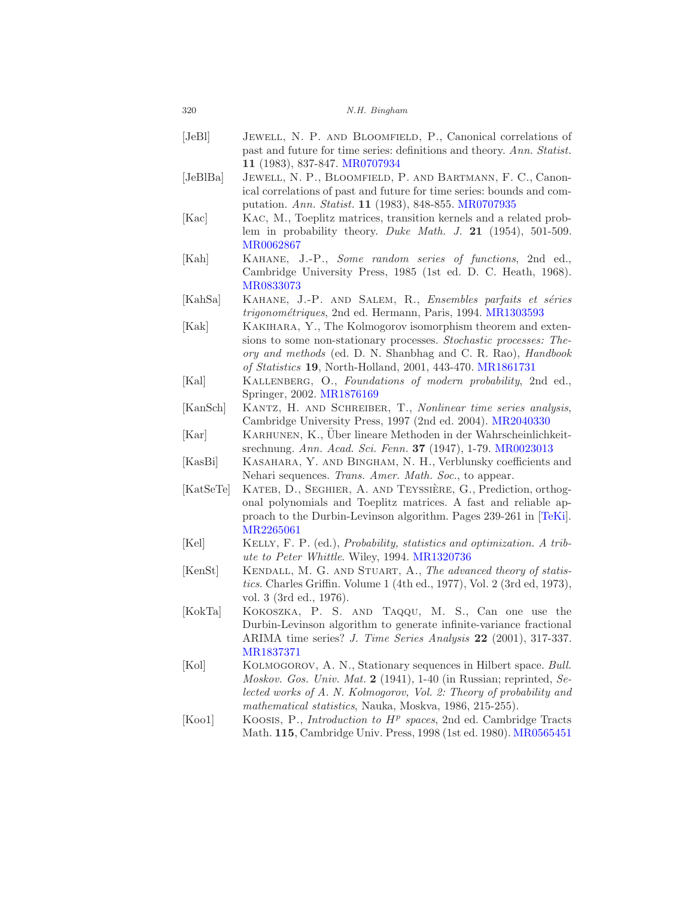<span id="page-33-14"></span><span id="page-33-13"></span><span id="page-33-12"></span><span id="page-33-11"></span><span id="page-33-9"></span><span id="page-33-8"></span><span id="page-33-5"></span><span id="page-33-3"></span>

| $[\text{JeBl}]$     | JEWELL, N. P. AND BLOOMFIELD, P., Canonical correlations of                                                                |
|---------------------|----------------------------------------------------------------------------------------------------------------------------|
|                     | past and future for time series: definitions and theory. Ann. Statist.<br>11 (1983), 837-847. MR0707934                    |
| [JeBIBa]            | JEWELL, N. P., BLOOMFIELD, P. AND BARTMANN, F. C., Canon-                                                                  |
|                     | ical correlations of past and future for time series: bounds and com-                                                      |
|                     | putation. Ann. Statist. 11 (1983), 848-855. MR0707935                                                                      |
| [Kac]               | KAC, M., Toeplitz matrices, transition kernels and a related prob-                                                         |
|                     | lem in probability theory. Duke Math. J. 21 $(1954)$ , 501-509.                                                            |
|                     | MR0062867                                                                                                                  |
| [Kah]               | KAHANE, J.-P., Some random series of functions, 2nd ed.,                                                                   |
|                     | Cambridge University Press, 1985 (1st ed. D. C. Heath, 1968).<br>MR0833073                                                 |
| [KahSa]             | KAHANE, J.-P. AND SALEM, R., Ensembles parfaits et séries                                                                  |
|                     | <i>trigonométriques</i> , 2nd ed. Hermann, Paris, 1994. MR1303593                                                          |
| [Kak]               | KAKIHARA, Y., The Kolmogorov isomorphism theorem and exten-                                                                |
|                     | sions to some non-stationary processes. Stochastic processes: The-                                                         |
|                     | ory and methods (ed. D. N. Shanbhag and C. R. Rao), Handbook                                                               |
|                     | of Statistics 19, North-Holland, 2001, 443-470. MR1861731                                                                  |
| [Kal]               | KALLENBERG, O., Foundations of modern probability, 2nd ed.,                                                                |
|                     | Springer, 2002. MR1876169                                                                                                  |
| [KanSch]            | KANTZ, H. AND SCHREIBER, T., Nonlinear time series analysis,<br>Cambridge University Press, 1997 (2nd ed. 2004). MR2040330 |
| $\vert$ Kar $\vert$ | KARHUNEN, K., Uber lineare Methoden in der Wahrscheinlichkeit-                                                             |
|                     | srechnung. Ann. Acad. Sci. Fenn. 37 (1947), 1-79. MR0023013                                                                |
| [KasBi]             | KASAHARA, Y. AND BINGHAM, N. H., Verblunsky coefficients and                                                               |
|                     | Nehari sequences. Trans. Amer. Math. Soc., to appear.                                                                      |
| [KatSeTe]           | KATEB, D., SEGHIER, A. AND TEYSSIÈRE, G., Prediction, orthog-                                                              |
|                     | onal polynomials and Toeplitz matrices. A fast and reliable ap-                                                            |
|                     | proach to the Durbin-Levinson algorithm. Pages 239-261 in [TeKi].                                                          |
| [Kel]               | MR2265061<br>KELLY, F. P. (ed.), <i>Probability, statistics and optimization. A trib</i> -                                 |
|                     | <i>ute to Peter Whittle.</i> Wiley, 1994. MR1320736                                                                        |
| [KenSt]             | KENDALL, M. G. AND STUART, A., The advanced theory of statis-                                                              |
|                     | <i>tics.</i> Charles Griffin. Volume 1 (4th ed., 1977), Vol. 2 (3rd ed, 1973),                                             |
|                     | vol. 3 (3rd ed., 1976).                                                                                                    |
| [KokTa]             | KOKOSZKA, P. S. AND TAQQU, M. S., Can one use the                                                                          |
|                     | Durbin-Levinson algorithm to generate infinite-variance fractional                                                         |
|                     | ARIMA time series? J. Time Series Analysis 22 (2001), 317-337.                                                             |
| [Kol]               | MR1837371<br>KOLMOGOROV, A. N., Stationary sequences in Hilbert space. Bull.                                               |
|                     | Moskov. Gos. Univ. Mat. 2 (1941), 1-40 (in Russian; reprinted, Se-                                                         |
|                     | lected works of A. N. Kolmogorov, Vol. 2: Theory of probability and                                                        |
|                     | mathematical statistics, Nauka, Moskva, 1986, 215-255).                                                                    |
| [Koo1]              | KOOSIS, P., <i>Introduction to <math>H^p</math> spaces</i> , 2nd ed. Cambridge Tracts                                      |

<span id="page-33-15"></span><span id="page-33-10"></span><span id="page-33-7"></span><span id="page-33-6"></span><span id="page-33-4"></span><span id="page-33-2"></span><span id="page-33-1"></span><span id="page-33-0"></span>Math. 115, Cambridge Univ. Press, 1998 (1st ed. 1980). [MR0565451](http://www.ams.org/mathscinet-getitem?mr=0565451)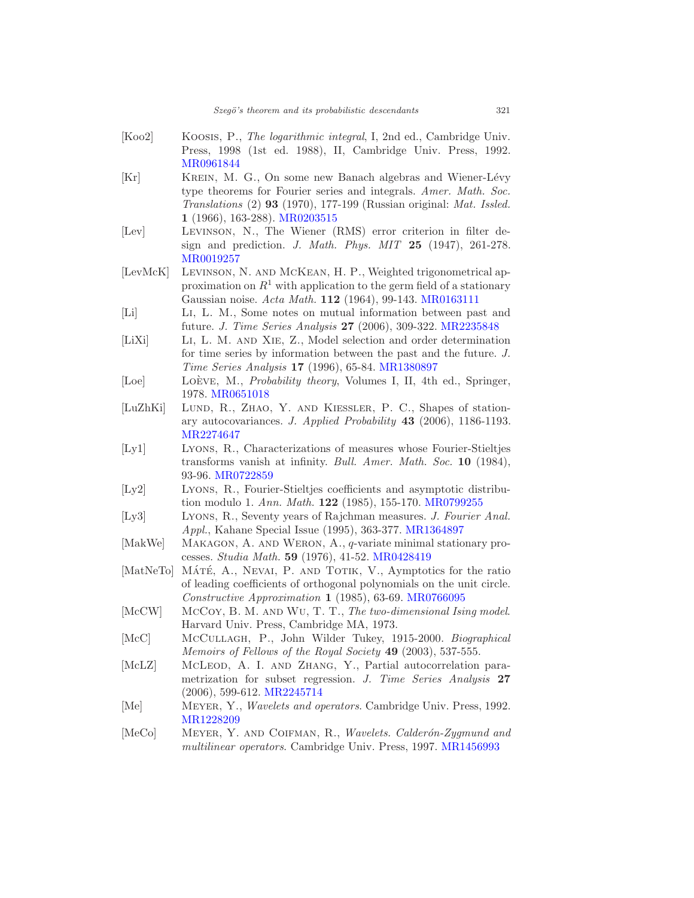<span id="page-34-16"></span><span id="page-34-15"></span><span id="page-34-14"></span><span id="page-34-13"></span><span id="page-34-12"></span><span id="page-34-11"></span><span id="page-34-10"></span><span id="page-34-9"></span><span id="page-34-8"></span><span id="page-34-7"></span><span id="page-34-6"></span><span id="page-34-5"></span><span id="page-34-4"></span><span id="page-34-3"></span><span id="page-34-2"></span><span id="page-34-1"></span><span id="page-34-0"></span>

| [Koo2]         | KOOSIS, P., The logarithmic integral, I, 2nd ed., Cambridge Univ.          |
|----------------|----------------------------------------------------------------------------|
|                | Press, 1998 (1st ed. 1988), II, Cambridge Univ. Press, 1992.               |
|                | MR0961844                                                                  |
| [Kr]           | KREIN, M. G., On some new Banach algebras and Wiener-Lévy                  |
|                | type theorems for Fourier series and integrals. Amer. Math. Soc.           |
|                | Translations (2) 93 (1970), 177-199 (Russian original: Mat. Issled.        |
|                | $1(1966), 163-288)$ . MR0203515                                            |
| [Lev]          | LEVINSON, N., The Wiener (RMS) error criterion in filter de-               |
|                |                                                                            |
|                | sign and prediction. J. Math. Phys. MIT $25$ (1947), 261-278.<br>MR0019257 |
| [LevMcK]       | LEVINSON, N. AND MCKEAN, H. P., Weighted trigonometrical ap-               |
|                | proximation on $R^1$ with application to the germ field of a stationary    |
|                | Gaussian noise. Acta Math. 112 (1964), 99-143. MR0163111                   |
| [Li]           | LI, L. M., Some notes on mutual information between past and               |
|                | future. J. Time Series Analysis 27 (2006), 309-322. MR2235848              |
|                | LI, L. M. AND XIE, Z., Model selection and order determination             |
| [LiXi]         |                                                                            |
|                | for time series by information between the past and the future. J.         |
|                | Time Series Analysis 17 (1996), 65-84. MR1380897                           |
| [Loe]          | LOÈVE, M., Probability theory, Volumes I, II, 4th ed., Springer,           |
|                | 1978. MR0651018                                                            |
| [LuZhKi]       | LUND, R., ZHAO, Y. AND KIESSLER, P. C., Shapes of station-                 |
|                | ary autocovariances. J. Applied Probability 43 (2006), 1186-1193.          |
|                | MR2274647                                                                  |
| [Ly1]          | LYONS, R., Characterizations of measures whose Fourier-Stieltjes           |
|                | transforms vanish at infinity. Bull. Amer. Math. Soc. 10 (1984),           |
|                | 93-96. MR0722859                                                           |
| [Ly2]          | LYONS, R., Fourier-Stieltjes coefficients and asymptotic distribu-         |
|                | tion modulo 1. Ann. Math. 122 (1985), 155-170. MR0799255                   |
| [Ly3]          | LYONS, R., Seventy years of Rajchman measures. J. Fourier Anal.            |
|                | <i>Appl.</i> , Kahane Special Issue (1995), 363-377. MR1364897             |
| [MakWe]        | MAKAGON, A. AND WERON, $A_{\cdot}, q$ -variate minimal stationary pro-     |
|                | cesses. Studia Math. 59 (1976), 41-52. MR0428419                           |
| [MatNeTo]      | MÁTÉ, A., NEVAI, P. AND TOTIK, V., Aymptotics for the ratio                |
|                | of leading coefficients of orthogonal polynomials on the unit circle.      |
|                | $Constructive Approximation$ 1 (1985), 63-69. MR0766095                    |
| $[{\rm McCW}]$ | McCoy, B. M. AND WU, T. T., The two-dimensional Ising model.               |
|                |                                                                            |
|                | Harvard Univ. Press, Cambridge MA, 1973.                                   |
| $[{\rm McC}]$  | MCCULLAGH, P., John Wilder Tukey, 1915-2000. Biographical                  |
|                | Memoirs of Fellows of the Royal Society 49 (2003), 537-555.                |
| [McLZ]         | MCLEOD, A. I. AND ZHANG, Y., Partial autocorrelation para-                 |
|                | metrization for subset regression. J. Time Series Analysis 27              |
|                | $(2006), 599-612. MR2245714$                                               |
| [Me]           | MEYER, Y., Wavelets and operators. Cambridge Univ. Press, 1992.            |
|                | MR1228209                                                                  |
| [MeCo]         | MEYER, Y. AND COIFMAN, R., Wavelets. Calderón-Zygmund and                  |
|                | multilinear operators. Cambridge Univ. Press, 1997. MR1456993              |
|                |                                                                            |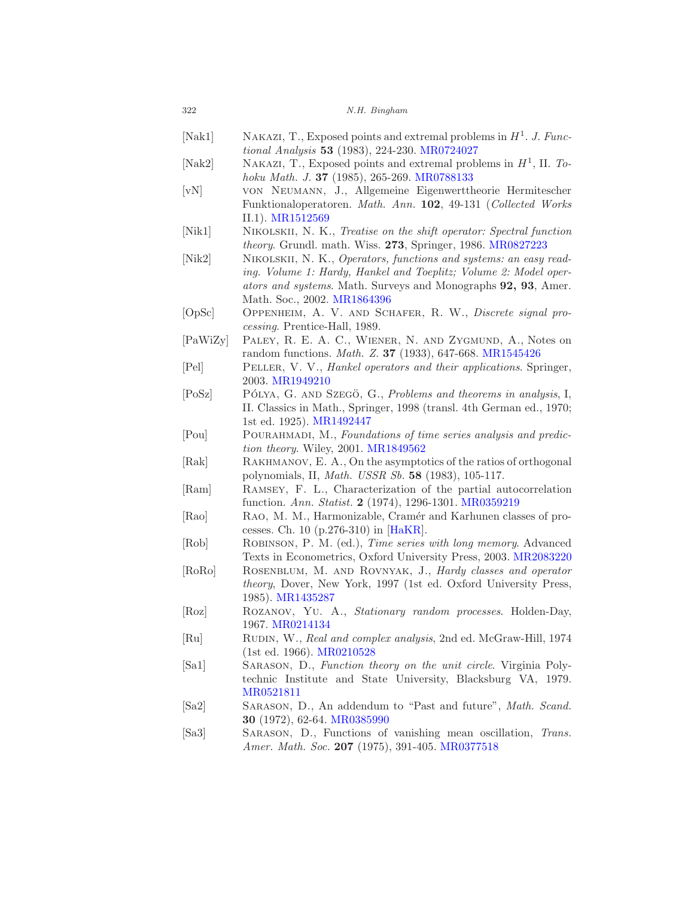<span id="page-35-19"></span><span id="page-35-18"></span><span id="page-35-17"></span><span id="page-35-16"></span><span id="page-35-15"></span><span id="page-35-14"></span><span id="page-35-13"></span><span id="page-35-12"></span><span id="page-35-11"></span><span id="page-35-10"></span><span id="page-35-9"></span><span id="page-35-8"></span><span id="page-35-7"></span><span id="page-35-6"></span><span id="page-35-5"></span><span id="page-35-4"></span><span id="page-35-3"></span><span id="page-35-2"></span><span id="page-35-1"></span><span id="page-35-0"></span>

| 322                         | N.H. Bingham                                                                                                                                                                                                                          |
|-----------------------------|---------------------------------------------------------------------------------------------------------------------------------------------------------------------------------------------------------------------------------------|
| [Nak1]                      | NAKAZI, T., Exposed points and extremal problems in $H1$ . J. Func-<br>tional Analysis 53 (1983), 224-230. MR0724027                                                                                                                  |
| [Nak2]                      | NAKAZI, T., Exposed points and extremal problems in $H^1$ , II. To-<br>hoku Math. J. 37 (1985), 265-269. MR0788133                                                                                                                    |
| [vN]                        | VON NEUMANN, J., Allgemeine Eigenwerttheorie Hermitescher<br>Funktionaloperatoren. Math. Ann. 102, 49-131 (Collected Works<br>II.1). MR1512569                                                                                        |
| [Nik1]                      | NIKOLSKII, N. K., Treatise on the shift operator: Spectral function<br><i>theory.</i> Grundl. math. Wiss. 273, Springer, 1986. MR0827223                                                                                              |
| [Nik2]                      | NIKOLSKII, N. K., Operators, functions and systems: an easy read-<br>ing. Volume 1: Hardy, Hankel and Toeplitz; Volume 2: Model oper-<br>ators and systems. Math. Surveys and Monographs 92, 93, Amer.<br>Math. Soc., 2002. MR1864396 |
| [OpSc]                      | OPPENHEIM, A. V. AND SCHAFER, R. W., Discrete signal pro-<br>cessing. Prentice-Hall, 1989.                                                                                                                                            |
| $[{\rm PaWiZy}]$            | PALEY, R. E. A. C., WIENER, N. AND ZYGMUND, A., Notes on<br>random functions. <i>Math. Z.</i> <b>37</b> (1933), 647-668. MR1545426                                                                                                    |
| $[$ Pel $]$                 | PELLER, V. V., Hankel operators and their applications. Springer,<br>2003. MR1949210                                                                                                                                                  |
| [Posz]                      | PÓLYA, G. AND SZEGÖ, G., Problems and theorems in analysis, I,<br>II. Classics in Math., Springer, 1998 (transl. 4th German ed., 1970;<br>1st ed. 1925). MR1492447                                                                    |
| [Pou]                       | POURAHMADI, M., Foundations of time series analysis and predic-<br><i>tion theory.</i> Wiley, $2001. MR1849562$                                                                                                                       |
| Rak                         | RAKHMANOV, E. A., On the asymptotics of the ratios of orthogonal<br>polynomials, II, <i>Math. USSR Sb.</i> 58 (1983), 105-117.                                                                                                        |
| [Ram]                       | RAMSEY, F. L., Characterization of the partial autocorrelation<br>function. Ann. Statist. 2 (1974), 1296-1301. MR0359219                                                                                                              |
| $ {\rm Rao} $               | RAO, M. M., Harmonizable, Cramér and Karhunen classes of pro-<br>cesses. Ch. 10 $(p.276-310)$ in [HaKR].                                                                                                                              |
| [Rob]                       | ROBINSON, P. M. (ed.), Time series with long memory. Advanced<br>Texts in Econometrics, Oxford University Press, 2003. MR2083220                                                                                                      |
| [RoRo]                      | ROSENBLUM, M. AND ROVNYAK, J., Hardy classes and operator<br><i>theory</i> , Dover, New York, 1997 (1st ed. Oxford University Press,<br>1985). MR1435287                                                                              |
| [Roz]                       | ROZANOV, YU. A., Stationary random processes. Holden-Day,<br>1967. MR0214134                                                                                                                                                          |
| $\lceil \mathrm{Ru} \rceil$ | RUDIN, W., Real and complex analysis, 2nd ed. McGraw-Hill, 1974<br>$(1st ed. 1966)$ . MR0210528                                                                                                                                       |
| Sa1                         | SARASON, D., Function theory on the unit circle. Virginia Poly-<br>technic Institute and State University, Blacksburg VA, 1979.<br>MR0521811                                                                                          |
| [Sa2]                       | SARASON, D., An addendum to "Past and future", Math. Scand.<br><b>30</b> (1972), 62-64. MR0385990                                                                                                                                     |
| Sa3                         | SARASON, D., Functions of vanishing mean oscillation, Trans.<br>Amer. Math. Soc. 207 (1975), 391-405. MR0377518                                                                                                                       |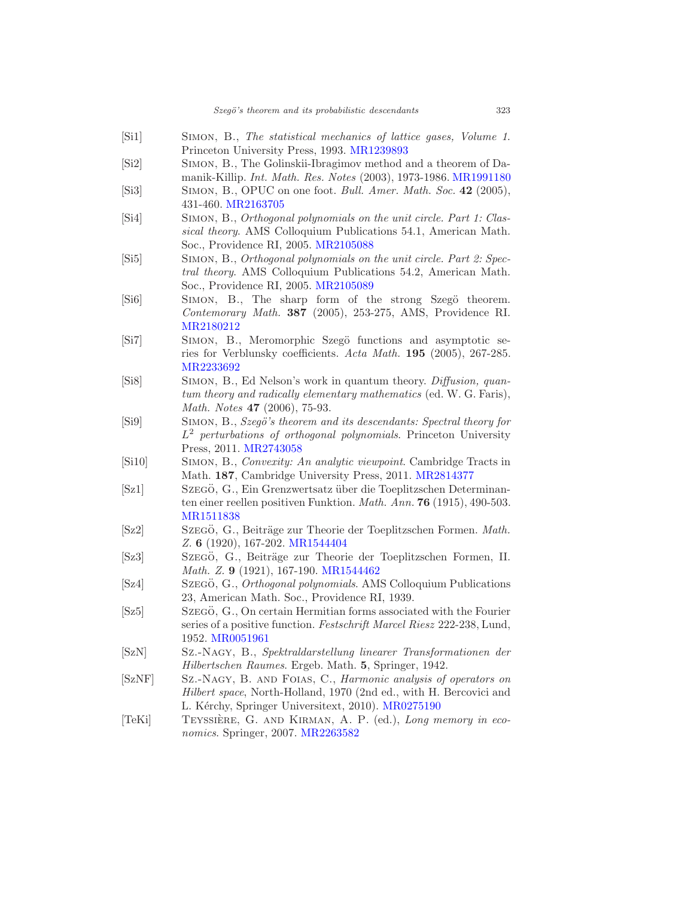- <span id="page-36-14"></span>[Si1] Simon, B., The statistical mechanics of lattice gases, Volume 1. Princeton University Press, 1993. [MR1239893](http://www.ams.org/mathscinet-getitem?mr=1239893)
- <span id="page-36-15"></span>[Si2] Simon, B., The Golinskii-Ibragimov method and a theorem of Damanik-Killip. Int. Math. Res. Notes (2003), 1973-1986. [MR1991180](http://www.ams.org/mathscinet-getitem?mr=1991180)
- <span id="page-36-5"></span>[Si3] SIMON, B., OPUC on one foot. Bull. Amer. Math. Soc. 42 (2005), 431-460. [MR2163705](http://www.ams.org/mathscinet-getitem?mr=2163705)
- <span id="page-36-3"></span>[Si4] Simon, B., Orthogonal polynomials on the unit circle. Part 1: Classical theory. AMS Colloquium Publications 54.1, American Math. Soc., Providence RI, 2005. [MR2105088](http://www.ams.org/mathscinet-getitem?mr=2105088)
- <span id="page-36-4"></span>[Si5] SIMON, B., Orthogonal polynomials on the unit circle. Part 2: Spectral theory. AMS Colloquium Publications 54.2, American Math. Soc., Providence RI, 2005. [MR2105089](http://www.ams.org/mathscinet-getitem?mr=2105089)
- <span id="page-36-16"></span>[Si6] SIMON, B., The sharp form of the strong Szegö theorem. Contemorary Math. 387 (2005), 253-275, AMS, Providence RI. [MR2180212](http://www.ams.org/mathscinet-getitem?mr=2180212)
- <span id="page-36-17"></span>[Si7] SIMON, B., Meromorphic Szegö functions and asymptotic series for Verblunsky coefficients. Acta Math. 195 (2005), 267-285. [MR2233692](http://www.ams.org/mathscinet-getitem?mr=2233692)
- <span id="page-36-9"></span>[Si8] Simon, B., Ed Nelson's work in quantum theory. Diffusion, quantum theory and radically elementary mathematics (ed. W. G. Faris), Math. Notes 47 (2006), 75-93.
- <span id="page-36-6"></span>[Si9] SIMON, B., Szegö's theorem and its descendants: Spectral theory for L <sup>2</sup> perturbations of orthogonal polynomials. Princeton University Press, 2011. [MR2743058](http://www.ams.org/mathscinet-getitem?mr=2743058)
- <span id="page-36-13"></span>[Si10] Simon, B., Convexity: An analytic viewpoint. Cambridge Tracts in Math. 187, Cambridge University Press, 2011. [MR2814377](http://www.ams.org/mathscinet-getitem?mr=2814377)
- <span id="page-36-7"></span>[Sz1] SzEGÖ, G., Ein Grenzwertsatz über die Toeplitzschen Determinanten einer reellen positiven Funktion. Math. Ann. 76 (1915), 490-503. [MR1511838](http://www.ams.org/mathscinet-getitem?mr=1511838)
- <span id="page-36-1"></span>[Sz2] Szegö, G., Beiträge zur Theorie der Toeplitzschen Formen. Math. Z. 6 (1920), 167-202. [MR1544404](http://www.ams.org/mathscinet-getitem?mr=1544404)
- <span id="page-36-2"></span>[Sz3] Szegö, G., Beiträge zur Theorie der Toeplitzschen Formen, II. Math. Z. 9 (1921), 167-190. [MR1544462](http://www.ams.org/mathscinet-getitem?mr=1544462)
- <span id="page-36-0"></span>[Sz4] Szegö, G., *Orthogonal polynomials.* AMS Colloquium Publications 23, American Math. Soc., Providence RI, 1939.
- <span id="page-36-8"></span>[Sz5] Szego, G., On certain Hermitian forms associated with the Fourier series of a positive function. Festschrift Marcel Riesz 222-238, Lund, 1952. [MR0051961](http://www.ams.org/mathscinet-getitem?mr=0051961)
- <span id="page-36-10"></span>[SzN] Sz.-Nagy, B., Spektraldarstellung linearer Transformationen der Hilbertschen Raumes. Ergeb. Math. 5, Springer, 1942.
- <span id="page-36-11"></span>[SzNF] Sz.-Nagy, B. and FOIAS, C., *Harmonic analysis of operators on* Hilbert space, North-Holland, 1970 (2nd ed., with H. Bercovici and L. Kérchy, Springer Universitext, 2010). [MR0275190](http://www.ams.org/mathscinet-getitem?mr=0275190)
- <span id="page-36-12"></span>[TeKi] TEYSSIÈRE, G. AND KIRMAN, A. P. (ed.), Long memory in economics. Springer, 2007. [MR2263582](http://www.ams.org/mathscinet-getitem?mr=2263582)